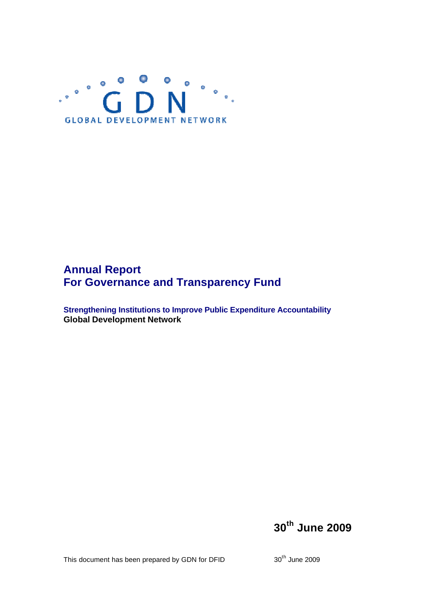

# **Annual Report For Governance and Transparency Fund**

**Strengthening Institutions to Improve Public Expenditure Accountability Global Development Network**

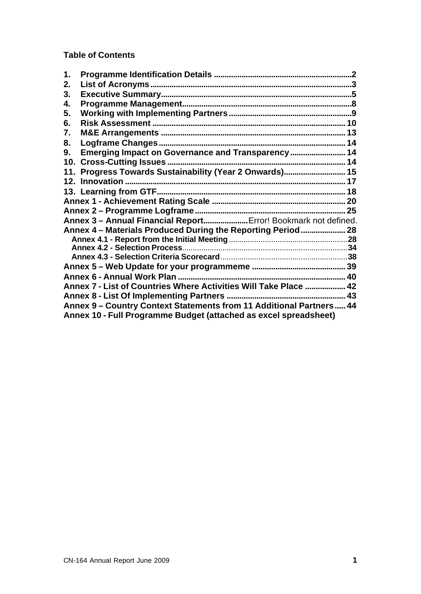**Table of Contents**

| $\mathbf 1$ . |                                                                     |  |
|---------------|---------------------------------------------------------------------|--|
| 2.            |                                                                     |  |
| 3.            |                                                                     |  |
| 4.            |                                                                     |  |
| 5.            |                                                                     |  |
| 6.            |                                                                     |  |
| 7.            |                                                                     |  |
| 8.            |                                                                     |  |
| 9.            | Emerging Impact on Governance and Transparency  14                  |  |
|               |                                                                     |  |
|               | 11. Progress Towards Sustainability (Year 2 Onwards) 15             |  |
|               |                                                                     |  |
|               |                                                                     |  |
|               |                                                                     |  |
|               |                                                                     |  |
|               | Annex 3 - Annual Financial Report Error! Bookmark not defined.      |  |
|               | Annex 4 - Materials Produced During the Reporting Period  28        |  |
|               |                                                                     |  |
|               |                                                                     |  |
|               |                                                                     |  |
|               |                                                                     |  |
|               |                                                                     |  |
|               | Annex 7 - List of Countries Where Activities Will Take Place  42    |  |
|               |                                                                     |  |
|               | Annex 9 - Country Context Statements from 11 Additional Partners 44 |  |
|               | Annex 10 - Full Programme Budget (attached as excel spreadsheet)    |  |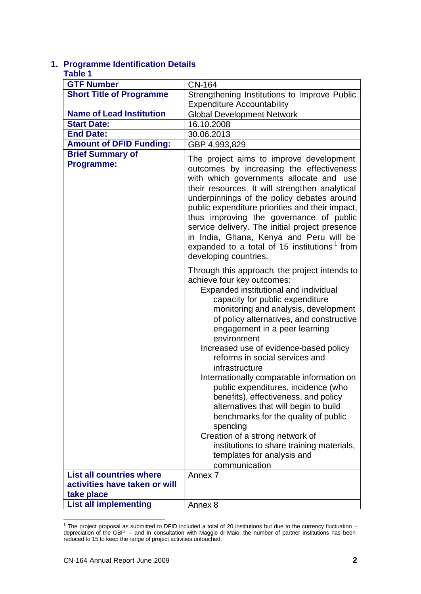# **1. Programme Identification Details**

#### **Table 1**

| <b>GTF Number</b>                            |                                                                                                                                                                                                                                                                                                                                                                                                                                                                                                                                                                                                                                                                                                                                                   |
|----------------------------------------------|---------------------------------------------------------------------------------------------------------------------------------------------------------------------------------------------------------------------------------------------------------------------------------------------------------------------------------------------------------------------------------------------------------------------------------------------------------------------------------------------------------------------------------------------------------------------------------------------------------------------------------------------------------------------------------------------------------------------------------------------------|
|                                              | <b>CN-164</b>                                                                                                                                                                                                                                                                                                                                                                                                                                                                                                                                                                                                                                                                                                                                     |
| <b>Short Title of Programme</b>              | Strengthening Institutions to Improve Public                                                                                                                                                                                                                                                                                                                                                                                                                                                                                                                                                                                                                                                                                                      |
|                                              | <b>Expenditure Accountability</b>                                                                                                                                                                                                                                                                                                                                                                                                                                                                                                                                                                                                                                                                                                                 |
| <b>Name of Lead Institution</b>              | <b>Global Development Network</b>                                                                                                                                                                                                                                                                                                                                                                                                                                                                                                                                                                                                                                                                                                                 |
| <b>Start Date:</b>                           | 16.10.2008                                                                                                                                                                                                                                                                                                                                                                                                                                                                                                                                                                                                                                                                                                                                        |
| <b>End Date:</b>                             | 30.06.2013                                                                                                                                                                                                                                                                                                                                                                                                                                                                                                                                                                                                                                                                                                                                        |
| <b>Amount of DFID Funding:</b>               | GBP 4,993,829                                                                                                                                                                                                                                                                                                                                                                                                                                                                                                                                                                                                                                                                                                                                     |
| <b>Brief Summary of</b><br><b>Programme:</b> | The project aims to improve development<br>outcomes by increasing the effectiveness<br>with which governments allocate and use<br>their resources. It will strengthen analytical<br>underpinnings of the policy debates around<br>public expenditure priorities and their impact,<br>thus improving the governance of public<br>service delivery. The initial project presence<br>in India, Ghana, Kenya and Peru will be<br>expanded to a total of 15 institutions <sup>1</sup> from<br>developing countries.                                                                                                                                                                                                                                    |
|                                              | Through this approach, the project intends to<br>achieve four key outcomes:<br>Expanded institutional and individual<br>capacity for public expenditure<br>monitoring and analysis, development<br>of policy alternatives, and constructive<br>engagement in a peer learning<br>environment<br>Increased use of evidence-based policy<br>reforms in social services and<br>infrastructure<br>Internationally comparable information on<br>public expenditures, incidence (who<br>benefits), effectiveness, and policy<br>alternatives that will begin to build<br>benchmarks for the quality of public<br>spending<br>Creation of a strong network of<br>institutions to share training materials,<br>templates for analysis and<br>communication |
| <b>List all countries where</b>              | Annex 7                                                                                                                                                                                                                                                                                                                                                                                                                                                                                                                                                                                                                                                                                                                                           |
| activities have taken or will                |                                                                                                                                                                                                                                                                                                                                                                                                                                                                                                                                                                                                                                                                                                                                                   |
| take place                                   |                                                                                                                                                                                                                                                                                                                                                                                                                                                                                                                                                                                                                                                                                                                                                   |
| <b>List all implementing</b>                 | Annex 8                                                                                                                                                                                                                                                                                                                                                                                                                                                                                                                                                                                                                                                                                                                                           |

 **1** The project proposal as submitted to DFID included a total of 20 institutions but due to the currency fluctuation – depreciation of the GBP – and in consultation with Maggie di Maio, the number of partner institutions has been reduced to 15 to keep the range of project activities untouched.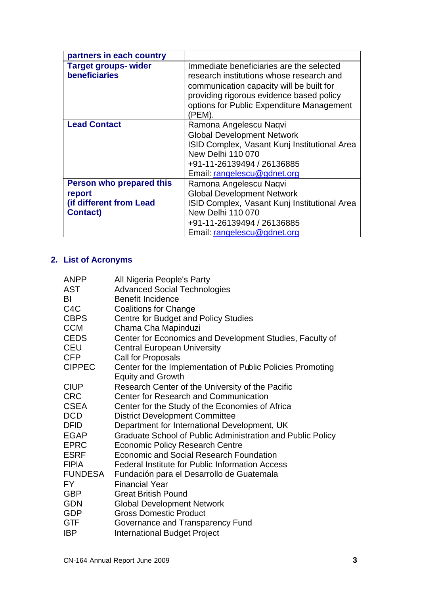| partners in each country                                                                |                                                                                                                                                                                                                                     |
|-----------------------------------------------------------------------------------------|-------------------------------------------------------------------------------------------------------------------------------------------------------------------------------------------------------------------------------------|
| <b>Target groups-wider</b><br><b>beneficiaries</b>                                      | Immediate beneficiaries are the selected<br>research institutions whose research and<br>communication capacity will be built for<br>providing rigorous evidence based policy<br>options for Public Expenditure Management<br>(PEM). |
| <b>Lead Contact</b>                                                                     | Ramona Angelescu Naqvi<br><b>Global Development Network</b><br><b>ISID Complex, Vasant Kunj Institutional Area</b><br><b>New Delhi 110 070</b><br>+91-11-26139494 / 26136885<br>Email: rangelescu@gdnet.org                         |
| <b>Person who prepared this</b><br>report<br>(if different from Lead<br><b>Contact)</b> | Ramona Angelescu Naqvi<br><b>Global Development Network</b><br>ISID Complex, Vasant Kunj Institutional Area<br><b>New Delhi 110 070</b><br>+91-11-26139494 / 26136885<br>Email: rangelescu@gdnet.org                                |

# **2. List of Acronyms**

| <b>ANPP</b>      | All Nigeria People's Party                                 |
|------------------|------------------------------------------------------------|
| AST              | <b>Advanced Social Technologies</b>                        |
| BI               | <b>Benefit Incidence</b>                                   |
| C <sub>4</sub> C | <b>Coalitions for Change</b>                               |
| <b>CBPS</b>      | <b>Centre for Budget and Policy Studies</b>                |
| <b>CCM</b>       | Chama Cha Mapinduzi                                        |
| <b>CEDS</b>      | Center for Economics and Development Studies, Faculty of   |
| CEU              | <b>Central European University</b>                         |
| <b>CFP</b>       | Call for Proposals                                         |
| <b>CIPPEC</b>    | Center for the Implementation of Public Policies Promoting |
|                  | <b>Equity and Growth</b>                                   |
| <b>CIUP</b>      | Research Center of the University of the Pacific           |
| <b>CRC</b>       | <b>Center for Research and Communication</b>               |
| <b>CSEA</b>      | Center for the Study of the Economies of Africa            |
| <b>DCD</b>       | <b>District Development Committee</b>                      |
| <b>DFID</b>      | Department for International Development, UK               |
| <b>EGAP</b>      | Graduate School of Public Administration and Public Policy |
| <b>EPRC</b>      | <b>Economic Policy Research Centre</b>                     |
| <b>ESRF</b>      | <b>Economic and Social Research Foundation</b>             |
| <b>FIPIA</b>     | <b>Federal Institute for Public Information Access</b>     |
| <b>FUNDESA</b>   | Fundación para el Desarrollo de Guatemala                  |
| FY.              | <b>Financial Year</b>                                      |
| <b>GBP</b>       | <b>Great British Pound</b>                                 |
| <b>GDN</b>       | <b>Global Development Network</b>                          |
| <b>GDP</b>       | <b>Gross Domestic Product</b>                              |
| <b>GTF</b>       | Governance and Transparency Fund                           |
| <b>IBP</b>       | <b>International Budget Project</b>                        |
|                  |                                                            |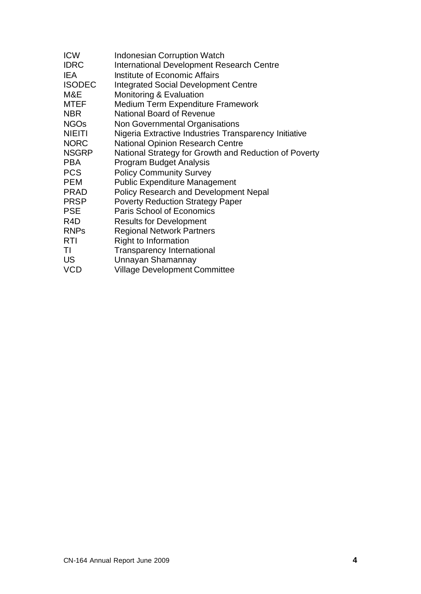| <b>ICW</b>    | <b>Indonesian Corruption Watch</b>                    |
|---------------|-------------------------------------------------------|
| <b>IDRC</b>   | <b>International Development Research Centre</b>      |
| IEA           | Institute of Economic Affairs                         |
| <b>ISODEC</b> | Integrated Social Development Centre                  |
| M&E           | <b>Monitoring &amp; Evaluation</b>                    |
| MTEF          | <b>Medium Term Expenditure Framework</b>              |
| NBR           | <b>National Board of Revenue</b>                      |
| <b>NGOs</b>   | Non Governmental Organisations                        |
| NIEITI        | Nigeria Extractive Industries Transparency Initiative |
| <b>NORC</b>   | <b>National Opinion Research Centre</b>               |
| NSGRP         | National Strategy for Growth and Reduction of Poverty |
| PBA           | <b>Program Budget Analysis</b>                        |
| <b>PCS</b>    | <b>Policy Community Survey</b>                        |
| PEM           | <b>Public Expenditure Management</b>                  |
| PRAD          | <b>Policy Research and Development Nepal</b>          |
| PRSP          | <b>Poverty Reduction Strategy Paper</b>               |
| PSE           | <b>Paris School of Economics</b>                      |
| R4D           | <b>Results for Development</b>                        |
| <b>RNPs</b>   | <b>Regional Network Partners</b>                      |
| RTI           | <b>Right to Information</b>                           |
| TI            | <b>Transparency International</b>                     |
| US            | Unnayan Shamannay                                     |
| VCD           | <b>Village Development Committee</b>                  |
|               |                                                       |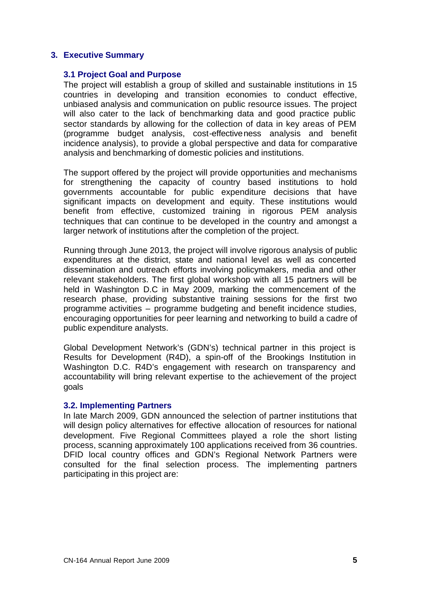### **3. Executive Summary**

#### **3.1 Project Goal and Purpose**

The project will establish a group of skilled and sustainable institutions in 15 countries in developing and transition economies to conduct effective, unbiased analysis and communication on public resource issues. The project will also cater to the lack of benchmarking data and good practice public sector standards by allowing for the collection of data in key areas of PEM (programme budget analysis, cost-effectiveness analysis and benefit incidence analysis), to provide a global perspective and data for comparative analysis and benchmarking of domestic policies and institutions.

The support offered by the project will provide opportunities and mechanisms for strengthening the capacity of country based institutions to hold governments accountable for public expenditure decisions that have significant impacts on development and equity. These institutions would benefit from effective, customized training in rigorous PEM analysis techniques that can continue to be developed in the country and amongst a larger network of institutions after the completion of the project.

Running through June 2013, the project will involve rigorous analysis of public expenditures at the district, state and national level as well as concerted dissemination and outreach efforts involving policymakers, media and other relevant stakeholders. The first global workshop with all 15 partners will be held in Washington D.C in May 2009, marking the commencement of the research phase, providing substantive training sessions for the first two programme activities – programme budgeting and benefit incidence studies, encouraging opportunities for peer learning and networking to build a cadre of public expenditure analysts.

Global Development Network's (GDN's) technical partner in this project is Results for Development (R4D), a spin-off of the Brookings Institution in Washington D.C. R4D's engagement with research on transparency and accountability will bring relevant expertise to the achievement of the project goals

#### **3.2. Implementing Partners**

In late March 2009, GDN announced the selection of partner institutions that will design policy alternatives for effective allocation of resources for national development. Five Regional Committees played a role the short listing process, scanning approximately 100 applications received from 36 countries. DFID local country offices and GDN's Regional Network Partners were consulted for the final selection process. The implementing partners participating in this project are: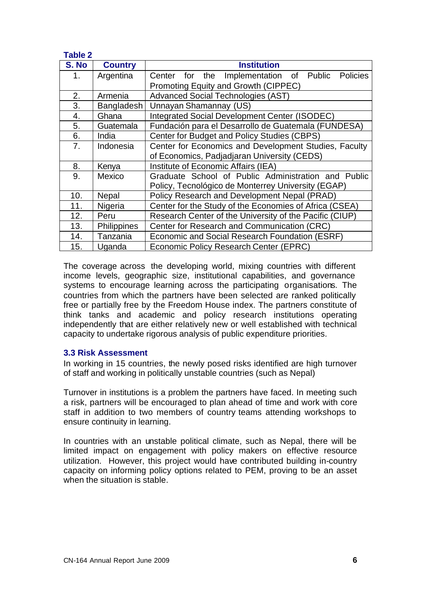| <b>Table 2</b> |                |                                                         |  |  |  |  |  |
|----------------|----------------|---------------------------------------------------------|--|--|--|--|--|
| S. No          | <b>Country</b> | <b>Institution</b>                                      |  |  |  |  |  |
| 1.             | Argentina      | Implementation of Public Policies<br>Center for the     |  |  |  |  |  |
|                |                | Promoting Equity and Growth (CIPPEC)                    |  |  |  |  |  |
| 2.             | Armenia        | <b>Advanced Social Technologies (AST)</b>               |  |  |  |  |  |
| 3.             | Bangladesh     | Unnayan Shamannay (US)                                  |  |  |  |  |  |
| 4.             | Ghana          | Integrated Social Development Center (ISODEC)           |  |  |  |  |  |
| 5.             | Guatemala      | Fundación para el Desarrollo de Guatemala (FUNDESA)     |  |  |  |  |  |
| 6.             | India          | Center for Budget and Policy Studies (CBPS)             |  |  |  |  |  |
| 7.             | Indonesia      | Center for Economics and Development Studies, Faculty   |  |  |  |  |  |
|                |                | of Economics, Padjadjaran University (CEDS)             |  |  |  |  |  |
| 8.             | Kenya          | Institute of Economic Affairs (IEA)                     |  |  |  |  |  |
| 9.             | Mexico         | Graduate School of Public Administration and Public     |  |  |  |  |  |
|                |                | Policy, Tecnológico de Monterrey University (EGAP)      |  |  |  |  |  |
| 10.            | Nepal          | Policy Research and Development Nepal (PRAD)            |  |  |  |  |  |
| 11.            | Nigeria        | Center for the Study of the Economies of Africa (CSEA)  |  |  |  |  |  |
| 12.            | Peru           | Research Center of the University of the Pacific (CIUP) |  |  |  |  |  |
| 13.            | Philippines    | Center for Research and Communication (CRC)             |  |  |  |  |  |
| 14.            | Tanzania       | Economic and Social Research Foundation (ESRF)          |  |  |  |  |  |
| 15.            | Uganda         | Economic Policy Research Center (EPRC)                  |  |  |  |  |  |

The coverage across the developing world, mixing countries with different income levels, geographic size, institutional capabilities, and governance systems to encourage learning across the participating organisations. The countries from which the partners have been selected are ranked politically free or partially free by the Freedom House index. The partners constitute of think tanks and academic and policy research institutions operating independently that are either relatively new or well established with technical capacity to undertake rigorous analysis of public expenditure priorities.

# **3.3 Risk Assessment**

In working in 15 countries, the newly posed risks identified are high turnover of staff and working in politically unstable countries (such as Nepal)

Turnover in institutions is a problem the partners have faced. In meeting such a risk, partners will be encouraged to plan ahead of time and work with core staff in addition to two members of country teams attending workshops to ensure continuity in learning.

In countries with an unstable political climate, such as Nepal, there will be limited impact on engagement with policy makers on effective resource utilization. However, this project would have contributed building in-country capacity on informing policy options related to PEM, proving to be an asset when the situation is stable.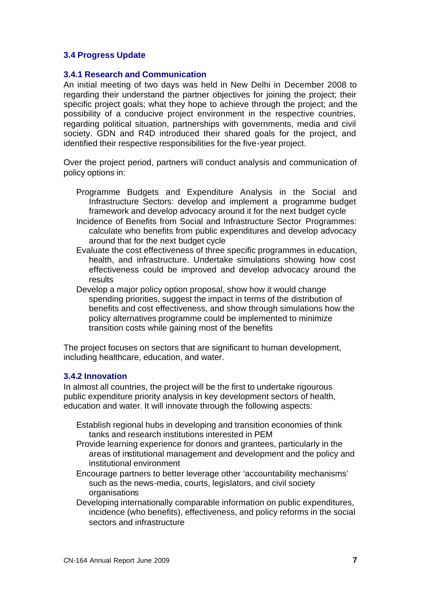# **3.4 Progress Update**

#### **3.4.1 Research and Communication**

An initial meeting of two days was held in New Delhi in December 2008 to regarding their understand the partner objectives for joining the project; their specific project goals; what they hope to achieve through the project; and the possibility of a conducive project environment in the respective countries, regarding political situation, partnerships with governments, media and civil society. GDN and R4D introduced their shared goals for the project, and identified their respective responsibilities for the five-year project.

Over the project period, partners will conduct analysis and communication of policy options in:

- Programme Budgets and Expenditure Analysis in the Social and Infrastructure Sectors: develop and implement a programme budget framework and develop advocacy around it for the next budget cycle
- Incidence of Benefits from Social and Infrastructure Sector Programmes: calculate who benefits from public expenditures and develop advocacy around that for the next budget cycle
- Evaluate the cost effectiveness of three specific programmes in education, health, and infrastructure. Undertake simulations showing how cost effectiveness could be improved and develop advocacy around the results
- Develop a major policy option proposal, show how it would change spending priorities, suggest the impact in terms of the distribution of benefits and cost effectiveness, and show through simulations how the policy alternatives programme could be implemented to minimize transition costs while gaining most of the benefits

The project focuses on sectors that are significant to human development, including healthcare, education, and water.

#### **3.4.2 Innovation**

In almost all countries, the project will be the first to undertake rigourous public expenditure priority analysis in key development sectors of health, education and water. It will innovate through the following aspects:

- Establish regional hubs in developing and transition economies of think tanks and research institutions interested in PEM
- Provide learning experience for donors and grantees, particularly in the areas of institutional management and development and the policy and institutional environment
- Encourage partners to better leverage other 'accountability mechanisms' such as the news-media, courts, legislators, and civil society organisations
- Developing internationally comparable information on public expenditures, incidence (who benefits), effectiveness, and policy reforms in the social sectors and infrastructure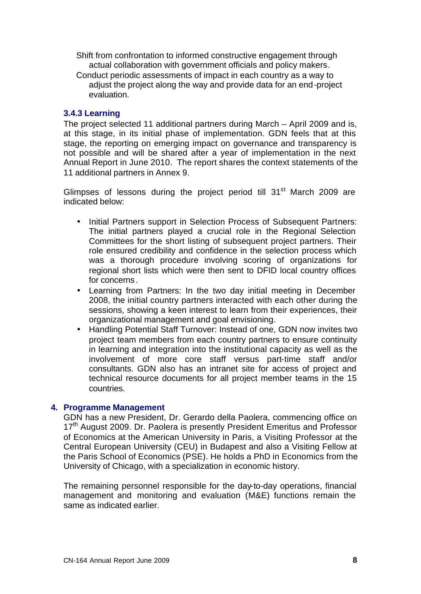Shift from confrontation to informed constructive engagement through actual collaboration with government officials and policy makers.

Conduct periodic assessments of impact in each country as a way to adjust the project along the way and provide data for an end-project evaluation.

# **3.4.3 Learning**

The project selected 11 additional partners during March – April 2009 and is, at this stage, in its initial phase of implementation. GDN feels that at this stage, the reporting on emerging impact on governance and transparency is not possible and will be shared after a year of implementation in the next Annual Report in June 2010. The report shares the context statements of the 11 additional partners in Annex 9.

Glimpses of lessons during the project period till 31<sup>st</sup> March 2009 are indicated below:

- Initial Partners support in Selection Process of Subsequent Partners: The initial partners played a crucial role in the Regional Selection Committees for the short listing of subsequent project partners. Their role ensured credibility and confidence in the selection process which was a thorough procedure involving scoring of organizations for regional short lists which were then sent to DFID local country offices for concerns.
- Learning from Partners: In the two day initial meeting in December 2008, the initial country partners interacted with each other during the sessions, showing a keen interest to learn from their experiences, their organizational management and goal envisioning.
- Handling Potential Staff Turnover: Instead of one, GDN now invites two project team members from each country partners to ensure continuity in learning and integration into the institutional capacity as well as the involvement of more core staff versus part-time staff and/or consultants. GDN also has an intranet site for access of project and technical resource documents for all project member teams in the 15 countries.

#### **4. Programme Management**

GDN has a new President, Dr. Gerardo della Paolera, commencing office on 17<sup>th</sup> August 2009. Dr. Paolera is presently President Emeritus and Professor of Economics at the American University in Paris, a Visiting Professor at the Central European University (CEU) in Budapest and also a Visiting Fellow at the Paris School of Economics (PSE). He holds a PhD in Economics from the University of Chicago, with a specialization in economic history.

The remaining personnel responsible for the day-to-day operations, financial management and monitoring and evaluation (M&E) functions remain the same as indicated earlier.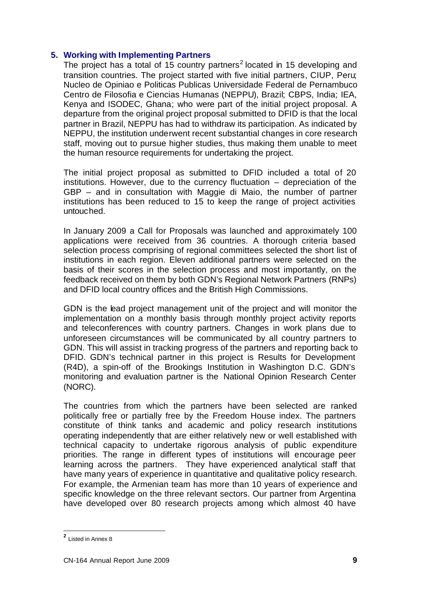# **5. Working with Implementing Partners**

The project has a total of 15 country partners<sup>2</sup> located in 15 developing and transition countries. The project started with five initial partners, CIUP, Peru; Nucleo de Opiniao e Politicas Publicas Universidade Federal de Pernambuco Centro de Filosofia e Ciencias Humanas (NEPPU), Brazil; CBPS, India; IEA, Kenya and ISODEC, Ghana; who were part of the initial project proposal. A departure from the original project proposal submitted to DFID is that the local partner in Brazil, NEPPU has had to withdraw its participation. As indicated by NEPPU, the institution underwent recent substantial changes in core research staff, moving out to pursue higher studies, thus making them unable to meet the human resource requirements for undertaking the project.

The initial project proposal as submitted to DFID included a total of 20 institutions. However, due to the currency fluctuation – depreciation of the GBP – and in consultation with Maggie di Maio, the number of partner institutions has been reduced to 15 to keep the range of project activities untouched.

In January 2009 a Call for Proposals was launched and approximately 100 applications were received from 36 countries. A thorough criteria based selection process comprising of regional committees selected the short list of institutions in each region. Eleven additional partners were selected on the basis of their scores in the selection process and most importantly, on the feedback received on them by both GDN's Regional Network Partners (RNPs) and DFID local country offices and the British High Commissions.

GDN is the lead project management unit of the project and will monitor the implementation on a monthly basis through monthly project activity reports and teleconferences with country partners. Changes in work plans due to unforeseen circumstances will be communicated by all country partners to GDN. This will assist in tracking progress of the partners and reporting back to DFID. GDN's technical partner in this project is Results for Development (R4D), a spin-off of the Brookings Institution in Washington D.C. GDN's monitoring and evaluation partner is the National Opinion Research Center (NORC).

The countries from which the partners have been selected are ranked politically free or partially free by the Freedom House index. The partners constitute of think tanks and academic and policy research institutions operating independently that are either relatively new or well established with technical capacity to undertake rigorous analysis of public expenditure priorities. The range in different types of institutions will encourage peer learning across the partners. They have experienced analytical staff that have many years of experience in quantitative and qualitative policy research. For example, the Armenian team has more than 10 years of experience and specific knowledge on the three relevant sectors. Our partner from Argentina have developed over 80 research projects among which almost 40 have

 **2** Listed in Annex 8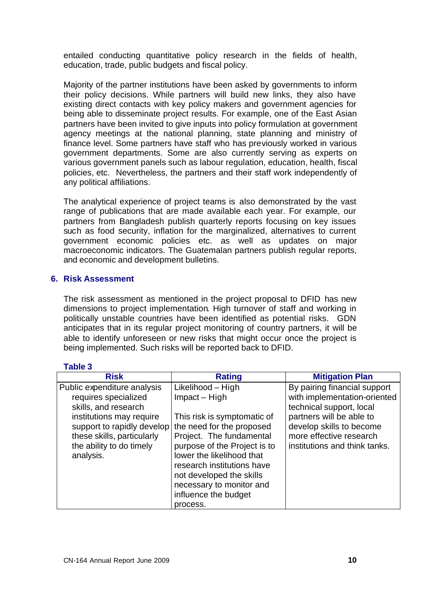entailed conducting quantitative policy research in the fields of health, education, trade, public budgets and fiscal policy.

Majority of the partner institutions have been asked by governments to inform their policy decisions. While partners will build new links, they also have existing direct contacts with key policy makers and government agencies for being able to disseminate project results. For example, one of the East Asian partners have been invited to give inputs into policy formulation at government agency meetings at the national planning, state planning and ministry of finance level. Some partners have staff who has previously worked in various government departments. Some are also currently serving as experts on various government panels such as labour regulation, education, health, fiscal policies, etc. Nevertheless, the partners and their staff work independently of any political affiliations.

The analytical experience of project teams is also demonstrated by the vast range of publications that are made available each year. For example, our partners from Bangladesh publish quarterly reports focusing on key issues such as food security, inflation for the marginalized, alternatives to current government economic policies etc. as well as updates on major macroeconomic indicators. The Guatemalan partners publish regular reports, and economic and development bulletins.

# **6. Risk Assessment**

The risk assessment as mentioned in the project proposal to DFID has new dimensions to project implementation. High turnover of staff and working in politically unstable countries have been identified as potential risks. GDN anticipates that in its regular project monitoring of country partners, it will be able to identify unforeseen or new risks that might occur once the project is being implemented. Such risks will be reported back to DFID.

# **Table 3**

| <b>Risk</b>                 | <b>Rating</b>                                        | <b>Mitigation Plan</b>        |
|-----------------------------|------------------------------------------------------|-------------------------------|
| Public expenditure analysis | Likelihood - High                                    | By pairing financial support  |
| requires specialized        | Impact – High                                        | with implementation-oriented  |
| skills, and research        |                                                      | technical support, local      |
| institutions may require    | This risk is symptomatic of                          | partners will be able to      |
|                             | support to rapidly develop the need for the proposed | develop skills to become      |
| these skills, particularly  | Project. The fundamental                             | more effective research       |
| the ability to do timely    | purpose of the Project is to                         | institutions and think tanks. |
| analysis.                   | lower the likelihood that                            |                               |
|                             | research institutions have                           |                               |
|                             | not developed the skills                             |                               |
|                             | necessary to monitor and                             |                               |
|                             | influence the budget                                 |                               |
|                             | process.                                             |                               |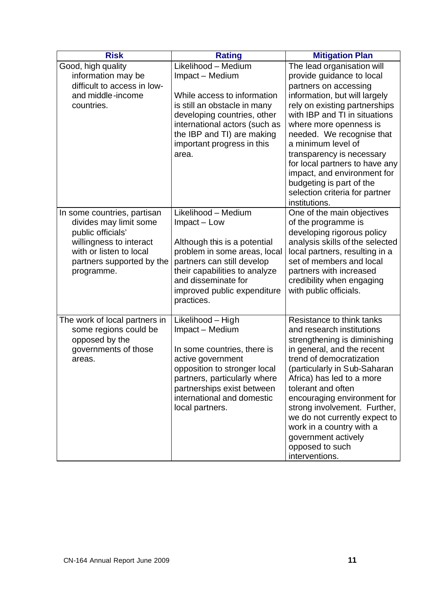| <b>Risk</b>                                                                                                                                  | <b>Rating</b>                                                                                                                                                                                                                                                     | <b>Mitigation Plan</b>                                                                                                                                                                                                                                                                                                                                                                                                                                                      |
|----------------------------------------------------------------------------------------------------------------------------------------------|-------------------------------------------------------------------------------------------------------------------------------------------------------------------------------------------------------------------------------------------------------------------|-----------------------------------------------------------------------------------------------------------------------------------------------------------------------------------------------------------------------------------------------------------------------------------------------------------------------------------------------------------------------------------------------------------------------------------------------------------------------------|
| Good, high quality<br>information may be<br>difficult to access in low-<br>and middle-income<br>countries.<br>In some countries, partisan    | Likelihood - Medium<br>Impact - Medium<br>While access to information<br>is still an obstacle in many<br>developing countries, other<br>international actors (such as<br>the IBP and TI) are making<br>important progress in this<br>area.<br>Likelihood - Medium | The lead organisation will<br>provide guidance to local<br>partners on accessing<br>information, but will largely<br>rely on existing partnerships<br>with IBP and TI in situations<br>where more openness is<br>needed. We recognise that<br>a minimum level of<br>transparency is necessary<br>for local partners to have any<br>impact, and environment for<br>budgeting is part of the<br>selection criteria for partner<br>institutions.<br>One of the main objectives |
| divides may limit some<br>public officials'<br>willingness to interact<br>with or listen to local<br>partners supported by the<br>programme. | Impact - Low<br>Although this is a potential<br>problem in some areas, local<br>partners can still develop<br>their capabilities to analyze<br>and disseminate for<br>improved public expenditure<br>practices.                                                   | of the programme is<br>developing rigorous policy<br>analysis skills of the selected<br>local partners, resulting in a<br>set of members and local<br>partners with increased<br>credibility when engaging<br>with public officials.                                                                                                                                                                                                                                        |
| The work of local partners in<br>some regions could be<br>opposed by the<br>governments of those<br>areas.                                   | Likelihood - High<br>Impact - Medium<br>In some countries, there is<br>active government<br>opposition to stronger local<br>partners, particularly where<br>partnerships exist between<br>international and domestic<br>local partners.                           | Resistance to think tanks<br>and research institutions<br>strengthening is diminishing<br>in general, and the recent<br>trend of democratization<br>(particularly in Sub-Saharan<br>Africa) has led to a more<br>tolerant and often<br>encouraging environment for<br>strong involvement. Further,<br>we do not currently expect to<br>work in a country with a<br>government actively<br>opposed to such<br>interventions.                                                 |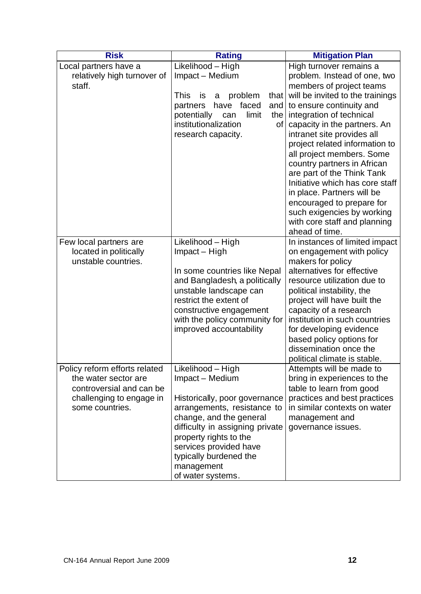| <b>Risk</b><br><b>Rating</b>                                                                                                     |                                                                                                                                                                                                                                                                                     | <b>Mitigation Plan</b>                                                                                                                                                                                                                                                                                                                                                                                                                                                                                                                                  |
|----------------------------------------------------------------------------------------------------------------------------------|-------------------------------------------------------------------------------------------------------------------------------------------------------------------------------------------------------------------------------------------------------------------------------------|---------------------------------------------------------------------------------------------------------------------------------------------------------------------------------------------------------------------------------------------------------------------------------------------------------------------------------------------------------------------------------------------------------------------------------------------------------------------------------------------------------------------------------------------------------|
| Local partners have a<br>relatively high turnover of<br>staff.                                                                   | Likelihood - High<br>Impact - Medium<br>problem<br><b>This</b><br>that  <br>is<br>a<br>faced<br>have<br>and<br>partners<br>limit<br>potentially<br>the<br>can<br>institutionalization<br>of <sub>l</sub><br>research capacity.                                                      | High turnover remains a<br>problem. Instead of one, two<br>members of project teams<br>will be invited to the trainings<br>to ensure continuity and<br>integration of technical<br>capacity in the partners. An<br>intranet site provides all<br>project related information to<br>all project members. Some<br>country partners in African<br>are part of the Think Tank<br>Initiative which has core staff<br>in place. Partners will be<br>encouraged to prepare for<br>such exigencies by working<br>with core staff and planning<br>ahead of time. |
| Few local partners are<br>located in politically<br>unstable countries.                                                          | Likelihood - High<br>Impact - High<br>In some countries like Nepal<br>and Bangladesh, a politically<br>unstable landscape can<br>restrict the extent of<br>constructive engagement<br>with the policy community for<br>improved accountability                                      | In instances of limited impact<br>on engagement with policy<br>makers for policy<br>alternatives for effective<br>resource utilization due to<br>political instability, the<br>project will have built the<br>capacity of a research<br>institution in such countries<br>for developing evidence<br>based policy options for<br>dissemination once the<br>political climate is stable.                                                                                                                                                                  |
| Policy reform efforts related<br>the water sector are<br>controversial and can be<br>challenging to engage in<br>some countries. | Likelihood - High<br>Impact - Medium<br>Historically, poor governance<br>arrangements, resistance to<br>change, and the general<br>difficulty in assigning private<br>property rights to the<br>services provided have<br>typically burdened the<br>management<br>of water systems. | Attempts will be made to<br>bring in experiences to the<br>table to learn from good<br>practices and best practices<br>in similar contexts on water<br>management and<br>governance issues.                                                                                                                                                                                                                                                                                                                                                             |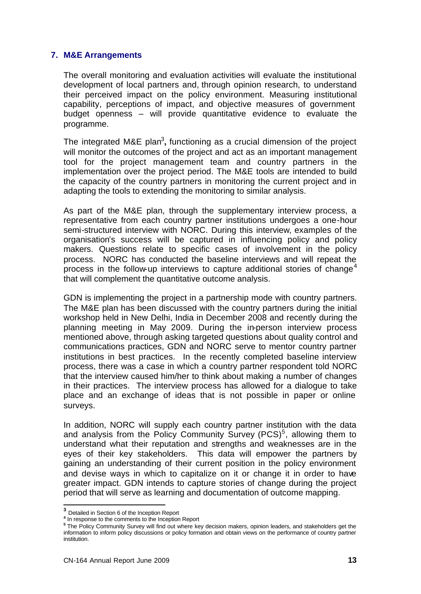#### **7. M&E Arrangements**

The overall monitoring and evaluation activities will evaluate the institutional development of local partners and, through opinion research, to understand their perceived impact on the policy environment. Measuring institutional capability, perceptions of impact, and objective measures of government budget openness – will provide quantitative evidence to evaluate the programme.

The integrated M&E plan<sup>3</sup>, functioning as a crucial dimension of the project will monitor the outcomes of the project and act as an important management tool for the project management team and country partners in the implementation over the project period. The M&E tools are intended to build the capacity of the country partners in monitoring the current project and in adapting the tools to extending the monitoring to similar analysis.

As part of the M&E plan, through the supplementary interview process, a representative from each country partner institutions undergoes a one-hour semi-structured interview with NORC. During this interview, examples of the organisation's success will be captured in influencing policy and policy makers. Questions relate to specific cases of involvement in the policy process. NORC has conducted the baseline interviews and will repeat the process in the follow-up interviews to capture additional stories of change<sup>4</sup> that will complement the quantitative outcome analysis.

GDN is implementing the project in a partnership mode with country partners. The M&E plan has been discussed with the country partners during the initial workshop held in New Delhi, India in December 2008 and recently during the planning meeting in May 2009. During the in-person interview process mentioned above, through asking targeted questions about quality control and communications practices, GDN and NORC serve to mentor country partner institutions in best practices. In the recently completed baseline interview process, there was a case in which a country partner respondent told NORC that the interview caused him/her to think about making a number of changes in their practices. The interview process has allowed for a dialogue to take place and an exchange of ideas that is not possible in paper or online surveys.

In addition, NORC will supply each country partner institution with the data and analysis from the Policy Community Survey  $(PCS)^5$ , allowing them to understand what their reputation and strengths and weaknesses are in the eyes of their key stakeholders. This data will empower the partners by gaining an understanding of their current position in the policy environment and devise ways in which to capitalize on it or change it in order to have greater impact. GDN intends to capture stories of change during the project period that will serve as learning and documentation of outcome mapping.

 **3** Detailed in Section 6 of the Inception Report

**<sup>4</sup>** In response to the comments to the Inception Report

**<sup>5</sup>** The Policy Community Survey will find out where key decision makers, opinion leaders, and stakeholders get the information to inform policy discussions or policy formation and obtain views on the performance of country partner institution.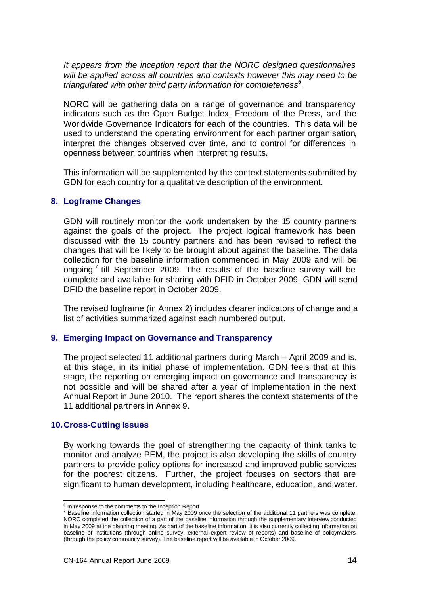*It appears from the inception report that the NORC designed questionnaires will be applied across all countries and contexts however this may need to be triangulated with other third party information for completeness<sup>6</sup> .*

NORC will be gathering data on a range of governance and transparency indicators such as the Open Budget Index, Freedom of the Press, and the Worldwide Governance Indicators for each of the countries. This data will be used to understand the operating environment for each partner organisation, interpret the changes observed over time, and to control for differences in openness between countries when interpreting results.

This information will be supplemented by the context statements submitted by GDN for each country for a qualitative description of the environment.

#### **8. Logframe Changes**

GDN will routinely monitor the work undertaken by the 15 country partners against the goals of the project. The project logical framework has been discussed with the 15 country partners and has been revised to reflect the changes that will be likely to be brought about against the baseline. The data collection for the baseline information commenced in May 2009 and will be ongoing<sup>7</sup> till September 2009. The results of the baseline survey will be complete and available for sharing with DFID in October 2009. GDN will send DFID the baseline report in October 2009.

The revised logframe (in Annex 2) includes clearer indicators of change and a list of activities summarized against each numbered output.

#### **9. Emerging Impact on Governance and Transparency**

The project selected 11 additional partners during March – April 2009 and is, at this stage, in its initial phase of implementation. GDN feels that at this stage, the reporting on emerging impact on governance and transparency is not possible and will be shared after a year of implementation in the next Annual Report in June 2010. The report shares the context statements of the 11 additional partners in Annex 9.

#### **10.Cross-Cutting Issues**

By working towards the goal of strengthening the capacity of think tanks to monitor and analyze PEM, the project is also developing the skills of country partners to provide policy options for increased and improved public services for the poorest citizens. Further, the project focuses on sectors that are significant to human development, including healthcare, education, and water.

 **6** In response to the comments to the Inception Report

**<sup>7</sup>** Baseline information collection started in May 2009 once the selection of the additional 11 partners was complete. NORC completed the collection of a part of the baseline information through the supplementary interview conducted in May 2009 at the planning meeting. As part of the baseline information, it is also currently collecting information on baseline of institutions (through online survey, external expert review of reports) and baseline of policymakers (through the policy community survey). The baseline report will be available in October 2009.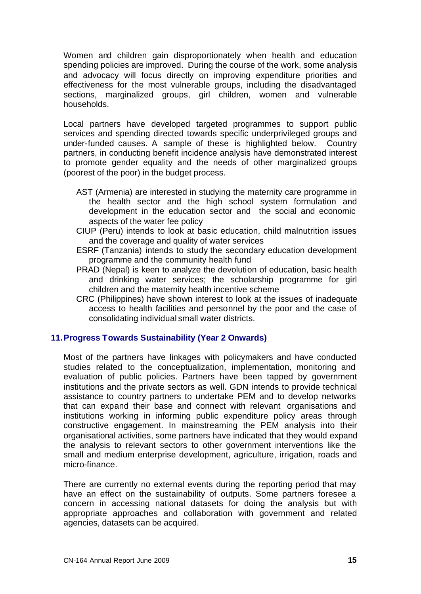Women and children gain disproportionately when health and education spending policies are improved. During the course of the work, some analysis and advocacy will focus directly on improving expenditure priorities and effectiveness for the most vulnerable groups, including the disadvantaged sections, marginalized groups, girl children, women and vulnerable households.

Local partners have developed targeted programmes to support public services and spending directed towards specific underprivileged groups and under-funded causes. A sample of these is highlighted below. Country partners, in conducting benefit incidence analysis have demonstrated interest to promote gender equality and the needs of other marginalized groups (poorest of the poor) in the budget process.

- AST (Armenia) are interested in studying the maternity care programme in the health sector and the high school system formulation and development in the education sector and the social and economic aspects of the water fee policy
- CIUP (Peru) intends to look at basic education, child malnutrition issues and the coverage and quality of water services
- ESRF (Tanzania) intends to study the secondary education development programme and the community health fund
- PRAD (Nepal) is keen to analyze the devolution of education, basic health and drinking water services; the scholarship programme for girl children and the maternity health incentive scheme
- CRC (Philippines) have shown interest to look at the issues of inadequate access to health facilities and personnel by the poor and the case of consolidating individual small water districts.

# **11.Progress Towards Sustainability (Year 2 Onwards)**

Most of the partners have linkages with policymakers and have conducted studies related to the conceptualization, implementation, monitoring and evaluation of public policies. Partners have been tapped by government institutions and the private sectors as well. GDN intends to provide technical assistance to country partners to undertake PEM and to develop networks that can expand their base and connect with relevant organisations and institutions working in informing public expenditure policy areas through constructive engagement. In mainstreaming the PEM analysis into their organisational activities, some partners have indicated that they would expand the analysis to relevant sectors to other government interventions like the small and medium enterprise development, agriculture, irrigation, roads and micro-finance.

There are currently no external events during the reporting period that may have an effect on the sustainability of outputs. Some partners foresee a concern in accessing national datasets for doing the analysis but with appropriate approaches and collaboration with government and related agencies, datasets can be acquired.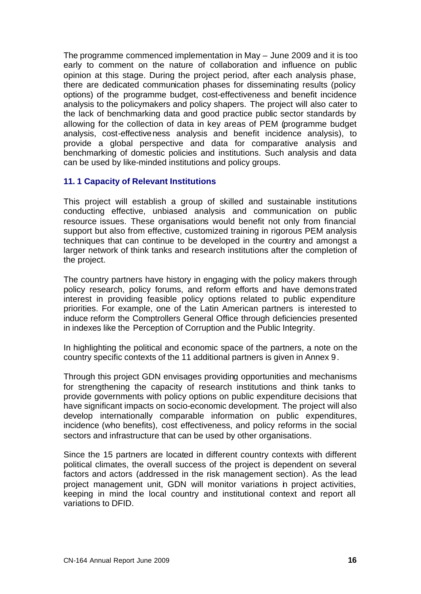The programme commenced implementation in May – June 2009 and it is too early to comment on the nature of collaboration and influence on public opinion at this stage. During the project period, after each analysis phase, there are dedicated communication phases for disseminating results (policy options) of the programme budget, cost-effectiveness and benefit incidence analysis to the policymakers and policy shapers. The project will also cater to the lack of benchmarking data and good practice public sector standards by allowing for the collection of data in key areas of PEM (programme budget analysis, cost-effectiveness analysis and benefit incidence analysis), to provide a global perspective and data for comparative analysis and benchmarking of domestic policies and institutions. Such analysis and data can be used by like-minded institutions and policy groups.

# **11. 1 Capacity of Relevant Institutions**

This project will establish a group of skilled and sustainable institutions conducting effective, unbiased analysis and communication on public resource issues. These organisations would benefit not only from financial support but also from effective, customized training in rigorous PEM analysis techniques that can continue to be developed in the country and amongst a larger network of think tanks and research institutions after the completion of the project.

The country partners have history in engaging with the policy makers through policy research, policy forums, and reform efforts and have demonstrated interest in providing feasible policy options related to public expenditure priorities. For example, one of the Latin American partners is interested to induce reform the Comptrollers General Office through deficiencies presented in indexes like the Perception of Corruption and the Public Integrity.

In highlighting the political and economic space of the partners, a note on the country specific contexts of the 11 additional partners is given in Annex 9.

Through this project GDN envisages providing opportunities and mechanisms for strengthening the capacity of research institutions and think tanks to provide governments with policy options on public expenditure decisions that have significant impacts on socio-economic development. The project will also develop internationally comparable information on public expenditures, incidence (who benefits), cost effectiveness, and policy reforms in the social sectors and infrastructure that can be used by other organisations.

Since the 15 partners are located in different country contexts with different political climates, the overall success of the project is dependent on several factors and actors (addressed in the risk management section). As the lead project management unit, GDN will monitor variations in project activities, keeping in mind the local country and institutional context and report all variations to DFID.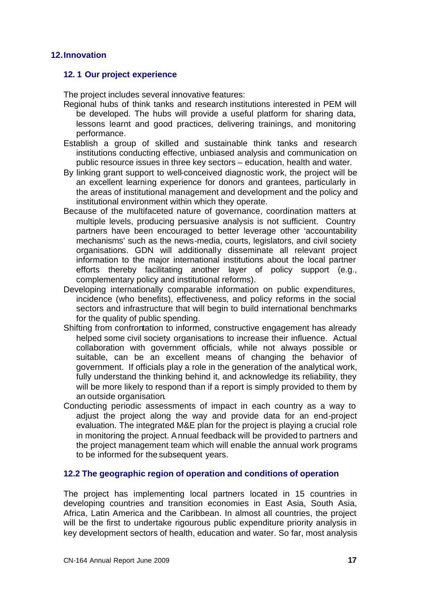#### **12.Innovation**

#### **12. 1 Our project experience**

The project includes several innovative features:

- Regional hubs of think tanks and research institutions interested in PEM will be developed. The hubs will provide a useful platform for sharing data, lessons learnt and good practices, delivering trainings, and monitoring performance.
- Establish a group of skilled and sustainable think tanks and research institutions conducting effective, unbiased analysis and communication on public resource issues in three key sectors – education, health and water.
- By linking grant support to well-conceived diagnostic work, the project will be an excellent learning experience for donors and grantees, particularly in the areas of institutional management and development and the policy and institutional environment within which they operate.
- Because of the multifaceted nature of governance, coordination matters at multiple levels, producing persuasive analysis is not sufficient. Country partners have been encouraged to better leverage other 'accountability mechanisms' such as the news-media, courts, legislators, and civil society organisations. GDN will additionally disseminate all relevant project information to the major international institutions about the local partner efforts thereby facilitating another layer of policy support (e.g., complementary policy and institutional reforms).
- Developing internationally comparable information on public expenditures, incidence (who benefits), effectiveness, and policy reforms in the social sectors and infrastructure that will begin to build international benchmarks for the quality of public spending.
- Shifting from confrontation to informed, constructive engagement has already helped some civil society organisations to increase their influence. Actual collaboration with government officials, while not always possible or suitable, can be an excellent means of changing the behavior of government. If officials play a role in the generation of the analytical work, fully understand the thinking behind it, and acknowledge its reliability, they will be more likely to respond than if a report is simply provided to them by an outside organisation.
- Conducting periodic assessments of impact in each country as a way to adjust the project along the way and provide data for an end-project evaluation. The integrated M&E plan for the project is playing a crucial role in monitoring the project. Annual feedback will be provided to partners and the project management team which will enable the annual work programs to be informed for the subsequent years.

# **12.2 The geographic region of operation and conditions of operation**

The project has implementing local partners located in 15 countries in developing countries and transition economies in East Asia, South Asia, Africa, Latin America and the Caribbean. In almost all countries, the project will be the first to undertake rigourous public expenditure priority analysis in key development sectors of health, education and water. So far, most analysis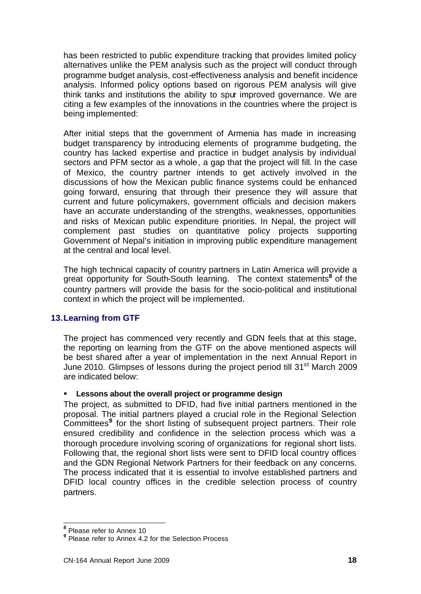has been restricted to public expenditure tracking that provides limited policy alternatives unlike the PEM analysis such as the project will conduct through programme budget analysis, cost-effectiveness analysis and benefit incidence analysis. Informed policy options based on rigorous PEM analysis will give think tanks and institutions the ability to spur improved governance. We are citing a few examples of the innovations in the countries where the project is being implemented:

After initial steps that the government of Armenia has made in increasing budget transparency by introducing elements of programme budgeting, the country has lacked expertise and practice in budget analysis by individual sectors and PFM sector as a whole, a gap that the project will fill. In the case of Mexico, the country partner intends to get actively involved in the discussions of how the Mexican public finance systems could be enhanced going forward, ensuring that through their presence they will assure that current and future policymakers, government officials and decision makers have an accurate understanding of the strengths, weaknesses, opportunities and risks of Mexican public expenditure priorities. In Nepal, the project will complement past studies on quantitative policy projects supporting Government of Nepal's initiation in improving public expenditure management at the central and local level.

The high technical capacity of country partners in Latin America will provide a great opportunity for South-South learning. The context statements<sup>8</sup> of the country partners will provide the basis for the socio-political and institutional context in which the project will be implemented.

# **13.Learning from GTF**

The project has commenced very recently and GDN feels that at this stage, the reporting on learning from the GTF on the above mentioned aspects will be best shared after a year of implementation in the next Annual Report in June 2010. Glimpses of lessons during the project period till 31<sup>st</sup> March 2009 are indicated below:

# ß **Lessons about the overall project or programme design**

The project, as submitted to DFID, had five initial partners mentioned in the proposal. The initial partners played a crucial role in the Regional Selection Committees<sup>9</sup> for the short listing of subsequent project partners. Their role ensured credibility and confidence in the selection process which was a thorough procedure involving scoring of organizations for regional short lists. Following that, the regional short lists were sent to DFID local country offices and the GDN Regional Network Partners for their feedback on any concerns. The process indicated that it is essential to involve established partners and DFID local country offices in the credible selection process of country partners.

 **8** Please refer to Annex 10

**<sup>9</sup>** Please refer to Annex 4.2 for the Selection Process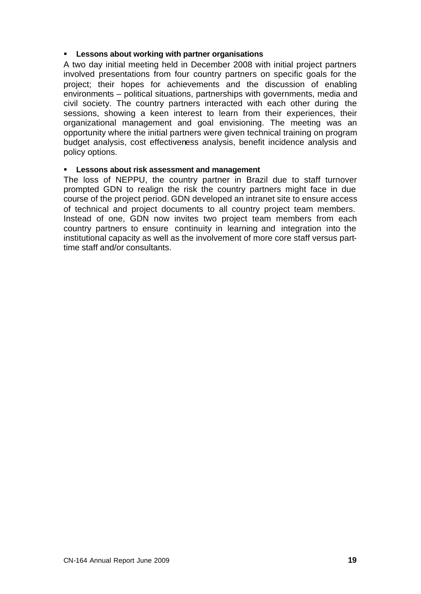# **EXECT:** Lessons about working with partner organisations

A two day initial meeting held in December 2008 with initial project partners involved presentations from four country partners on specific goals for the project; their hopes for achievements and the discussion of enabling environments – political situations, partnerships with governments, media and civil society. The country partners interacted with each other during the sessions, showing a keen interest to learn from their experiences, their organizational management and goal envisioning. The meeting was an opportunity where the initial partners were given technical training on program budget analysis, cost effectiveness analysis, benefit incidence analysis and policy options.

#### ß **Lessons about risk assessment and management**

The loss of NEPPU, the country partner in Brazil due to staff turnover prompted GDN to realign the risk the country partners might face in due course of the project period. GDN developed an intranet site to ensure access of technical and project documents to all country project team members. Instead of one, GDN now invites two project team members from each country partners to ensure continuity in learning and integration into the institutional capacity as well as the involvement of more core staff versus parttime staff and/or consultants.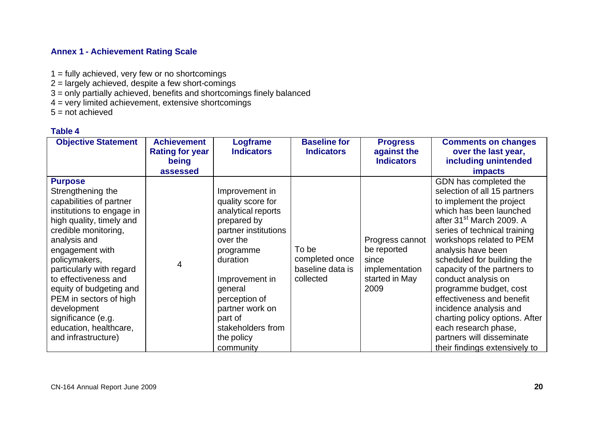# **Annex 1 - Achievement Rating Scale**

- 1 = fully achieved, very few or no shortcomings
- 2 = largely achieved, despite a few short-comings
- 3 = only partially achieved, benefits and shortcomings finely balanced
- 4 = very limited achievement, extensive shortcomings
- $5 = not achieved$

# **Table 4**

| <b>Objective Statement</b>                                                                                                                                                                                                                                                                                                                                                                         | <b>Achievement</b><br><b>Rating for year</b><br>being<br>assessed | Logframe<br><b>Indicators</b>                                                                                                                                                                                                                                     | <b>Baseline for</b><br><b>Indicators</b>                 | <b>Progress</b><br>against the<br><b>Indicators</b>                                 | <b>Comments on changes</b><br>over the last year,<br>including unintended<br><b>impacts</b>                                                                                                                                                                                                                                                                                                                                                                                                                                         |
|----------------------------------------------------------------------------------------------------------------------------------------------------------------------------------------------------------------------------------------------------------------------------------------------------------------------------------------------------------------------------------------------------|-------------------------------------------------------------------|-------------------------------------------------------------------------------------------------------------------------------------------------------------------------------------------------------------------------------------------------------------------|----------------------------------------------------------|-------------------------------------------------------------------------------------|-------------------------------------------------------------------------------------------------------------------------------------------------------------------------------------------------------------------------------------------------------------------------------------------------------------------------------------------------------------------------------------------------------------------------------------------------------------------------------------------------------------------------------------|
| <b>Purpose</b><br>Strengthening the<br>capabilities of partner<br>institutions to engage in<br>high quality, timely and<br>credible monitoring,<br>analysis and<br>engagement with<br>policymakers,<br>particularly with regard<br>to effectiveness and<br>equity of budgeting and<br>PEM in sectors of high<br>development<br>significance (e.g.<br>education, healthcare,<br>and infrastructure) | 4                                                                 | Improvement in<br>quality score for<br>analytical reports<br>prepared by<br>partner institutions<br>over the<br>programme<br>duration<br>Improvement in<br>general<br>perception of<br>partner work on<br>part of<br>stakeholders from<br>the policy<br>community | To be<br>completed once<br>baseline data is<br>collected | Progress cannot<br>be reported<br>since<br>implementation<br>started in May<br>2009 | GDN has completed the<br>selection of all 15 partners<br>to implement the project<br>which has been launched<br>after 31 <sup>st</sup> March 2009. A<br>series of technical training<br>workshops related to PEM<br>analysis have been<br>scheduled for building the<br>capacity of the partners to<br>conduct analysis on<br>programme budget, cost<br>effectiveness and benefit<br>incidence analysis and<br>charting policy options. After<br>each research phase,<br>partners will disseminate<br>their findings extensively to |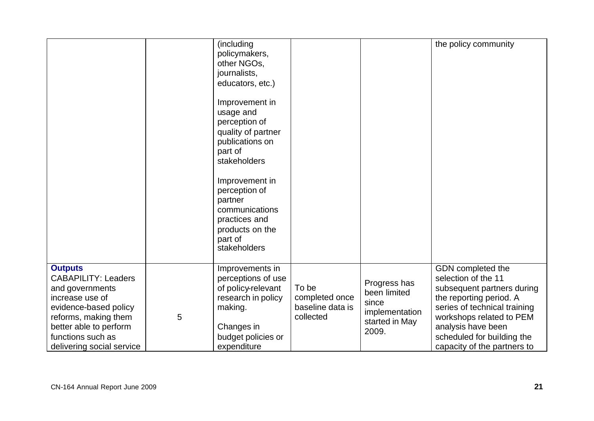|                                                                                                                                                                                                                 |   | (including<br>policymakers,<br>other NGOs,<br>journalists,<br>educators, etc.)<br>Improvement in<br>usage and<br>perception of<br>quality of partner<br>publications on<br>part of<br>stakeholders<br>Improvement in<br>perception of<br>partner<br>communications<br>practices and<br>products on the<br>part of<br>stakeholders |                                                          |                                                                                    | the policy community                                                                                                                                                                                                                             |
|-----------------------------------------------------------------------------------------------------------------------------------------------------------------------------------------------------------------|---|-----------------------------------------------------------------------------------------------------------------------------------------------------------------------------------------------------------------------------------------------------------------------------------------------------------------------------------|----------------------------------------------------------|------------------------------------------------------------------------------------|--------------------------------------------------------------------------------------------------------------------------------------------------------------------------------------------------------------------------------------------------|
| <b>Outputs</b><br><b>CABAPILITY: Leaders</b><br>and governments<br>increase use of<br>evidence-based policy<br>reforms, making them<br>better able to perform<br>functions such as<br>delivering social service | 5 | Improvements in<br>perceptions of use<br>of policy-relevant<br>research in policy<br>making.<br>Changes in<br>budget policies or<br>expenditure                                                                                                                                                                                   | To be<br>completed once<br>baseline data is<br>collected | Progress has<br>been limited<br>since<br>implementation<br>started in May<br>2009. | GDN completed the<br>selection of the 11<br>subsequent partners during<br>the reporting period. A<br>series of technical training<br>workshops related to PEM<br>analysis have been<br>scheduled for building the<br>capacity of the partners to |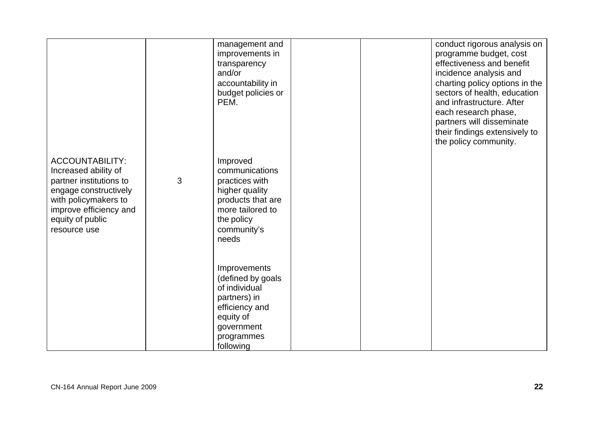|                                                                                                                                                                                          |   | management and<br>improvements in<br>transparency<br>and/or<br>accountability in<br>budget policies or<br>PEM.                                |  | conduct rigorous analysis on<br>programme budget, cost<br>effectiveness and benefit<br>incidence analysis and<br>charting policy options in the<br>sectors of health, education<br>and infrastructure. After<br>each research phase,<br>partners will disseminate<br>their findings extensively to<br>the policy community. |
|------------------------------------------------------------------------------------------------------------------------------------------------------------------------------------------|---|-----------------------------------------------------------------------------------------------------------------------------------------------|--|-----------------------------------------------------------------------------------------------------------------------------------------------------------------------------------------------------------------------------------------------------------------------------------------------------------------------------|
| <b>ACCOUNTABILITY:</b><br>Increased ability of<br>partner institutions to<br>engage constructively<br>with policymakers to<br>improve efficiency and<br>equity of public<br>resource use | 3 | Improved<br>communications<br>practices with<br>higher quality<br>products that are<br>more tailored to<br>the policy<br>community's<br>needs |  |                                                                                                                                                                                                                                                                                                                             |
|                                                                                                                                                                                          |   | Improvements<br>(defined by goals<br>of individual<br>partners) in<br>efficiency and<br>equity of<br>government<br>programmes<br>following    |  |                                                                                                                                                                                                                                                                                                                             |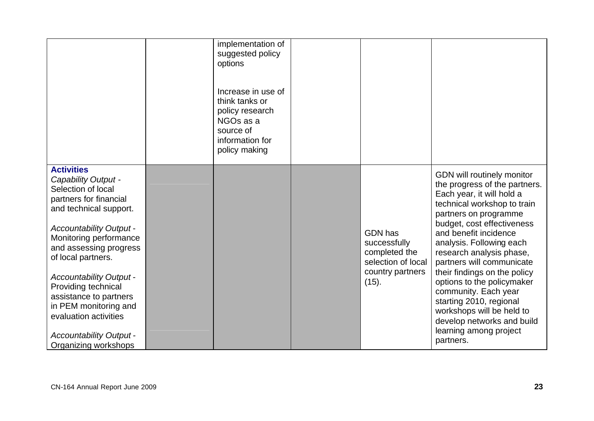|                                                                                                                                                                                                                                                                                                                                                                                                                               | implementation of<br>suggested policy<br>options<br>Increase in use of<br>think tanks or<br>policy research<br>NGO <sub>s</sub> as a<br>source of<br>information for<br>policy making |                                                                                                    |                                                                                                                                                                                                                                                                                                                                                                                                                                                                                                                 |
|-------------------------------------------------------------------------------------------------------------------------------------------------------------------------------------------------------------------------------------------------------------------------------------------------------------------------------------------------------------------------------------------------------------------------------|---------------------------------------------------------------------------------------------------------------------------------------------------------------------------------------|----------------------------------------------------------------------------------------------------|-----------------------------------------------------------------------------------------------------------------------------------------------------------------------------------------------------------------------------------------------------------------------------------------------------------------------------------------------------------------------------------------------------------------------------------------------------------------------------------------------------------------|
| <b>Activities</b><br>Capability Output -<br>Selection of local<br>partners for financial<br>and technical support.<br><b>Accountability Output -</b><br>Monitoring performance<br>and assessing progress<br>of local partners.<br><b>Accountability Output -</b><br>Providing technical<br>assistance to partners<br>in PEM monitoring and<br>evaluation activities<br><b>Accountability Output -</b><br>Organizing workshops |                                                                                                                                                                                       | <b>GDN</b> has<br>successfully<br>completed the<br>selection of local<br>country partners<br>(15). | GDN will routinely monitor<br>the progress of the partners.<br>Each year, it will hold a<br>technical workshop to train<br>partners on programme<br>budget, cost effectiveness<br>and benefit incidence<br>analysis. Following each<br>research analysis phase,<br>partners will communicate<br>their findings on the policy<br>options to the policymaker<br>community. Each year<br>starting 2010, regional<br>workshops will be held to<br>develop networks and build<br>learning among project<br>partners. |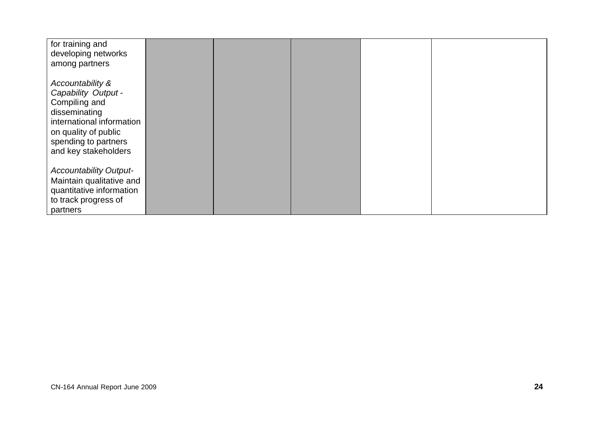| for training and<br>developing networks<br>among partners                                                                                                                      |  |  |  |
|--------------------------------------------------------------------------------------------------------------------------------------------------------------------------------|--|--|--|
| Accountability &<br>Capability Output -<br>Compiling and<br>disseminating<br>international information<br>on quality of public<br>spending to partners<br>and key stakeholders |  |  |  |
| <b>Accountability Output-</b><br>Maintain qualitative and<br>quantitative information<br>to track progress of<br>partners                                                      |  |  |  |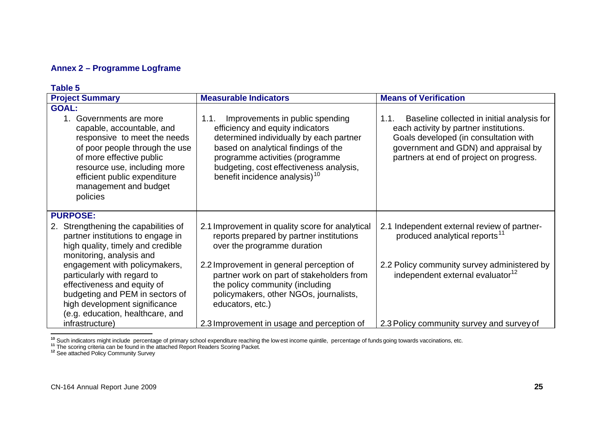# **Annex 2 – Programme Logframe**

| Table 5                                                                                                                                                                                                                                                                                                                                                                                 |                                                                                                                                                                                                                                                                                                                                                                    |                                                                                                                                                                                                                                      |  |  |
|-----------------------------------------------------------------------------------------------------------------------------------------------------------------------------------------------------------------------------------------------------------------------------------------------------------------------------------------------------------------------------------------|--------------------------------------------------------------------------------------------------------------------------------------------------------------------------------------------------------------------------------------------------------------------------------------------------------------------------------------------------------------------|--------------------------------------------------------------------------------------------------------------------------------------------------------------------------------------------------------------------------------------|--|--|
| <b>Project Summary</b>                                                                                                                                                                                                                                                                                                                                                                  | <b>Measurable Indicators</b>                                                                                                                                                                                                                                                                                                                                       | <b>Means of Verification</b>                                                                                                                                                                                                         |  |  |
| <b>GOAL:</b><br>1. Governments are more<br>capable, accountable, and<br>responsive to meet the needs<br>of poor people through the use<br>of more effective public<br>resource use, including more<br>efficient public expenditure<br>management and budget<br>policies                                                                                                                 | Improvements in public spending<br>1.1.<br>efficiency and equity indicators<br>determined individually by each partner<br>based on analytical findings of the<br>programme activities (programme<br>budgeting, cost effectiveness analysis,<br>benefit incidence analysis) <sup>10</sup>                                                                           | Baseline collected in initial analysis for<br>1.1.<br>each activity by partner institutions.<br>Goals developed (in consultation with<br>government and GDN) and appraisal by<br>partners at end of project on progress.             |  |  |
| <b>PURPOSE:</b><br>2. Strengthening the capabilities of<br>partner institutions to engage in<br>high quality, timely and credible<br>monitoring, analysis and<br>engagement with policymakers,<br>particularly with regard to<br>effectiveness and equity of<br>budgeting and PEM in sectors of<br>high development significance<br>(e.g. education, healthcare, and<br>infrastructure) | 2.1 Improvement in quality score for analytical<br>reports prepared by partner institutions<br>over the programme duration<br>2.2 Improvement in general perception of<br>partner work on part of stakeholders from<br>the policy community (including<br>policymakers, other NGOs, journalists,<br>educators, etc.)<br>2.3 Improvement in usage and perception of | 2.1 Independent external review of partner-<br>produced analytical reports <sup>11</sup><br>2.2 Policy community survey administered by<br>independent external evaluator <sup>12</sup><br>2.3 Policy community survey and survey of |  |  |

**<sup>10</sup>** Such indicators might include percentage of primary school expenditure reaching the low est income quintile, percentage of funds going towards vaccinations, etc.

l

**<sup>11</sup>** The scoring criteria can be found in the attached Report Readers Scoring Packet.

**<sup>12</sup>** See attached Policy Community Survey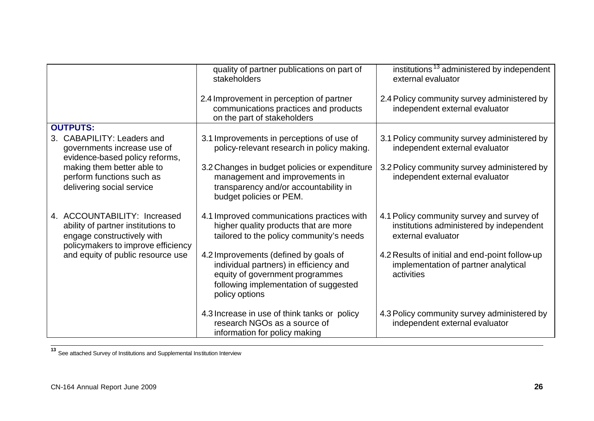|                                                                                                                                        | quality of partner publications on part of<br>stakeholders                                                                                                                    | institutions <sup>13</sup> administered by independent<br>external evaluator                                |
|----------------------------------------------------------------------------------------------------------------------------------------|-------------------------------------------------------------------------------------------------------------------------------------------------------------------------------|-------------------------------------------------------------------------------------------------------------|
|                                                                                                                                        | 2.4 Improvement in perception of partner<br>communications practices and products<br>on the part of stakeholders                                                              | 2.4 Policy community survey administered by<br>independent external evaluator                               |
| <b>OUTPUTS:</b>                                                                                                                        |                                                                                                                                                                               |                                                                                                             |
| 3. CABAPILITY: Leaders and<br>governments increase use of<br>evidence-based policy reforms,                                            | 3.1 Improvements in perceptions of use of<br>policy-relevant research in policy making.                                                                                       | 3.1 Policy community survey administered by<br>independent external evaluator                               |
| making them better able to<br>perform functions such as<br>delivering social service                                                   | 3.2 Changes in budget policies or expenditure<br>management and improvements in<br>transparency and/or accountability in<br>budget policies or PEM.                           | 3.2 Policy community survey administered by<br>independent external evaluator                               |
| 4. ACCOUNTABILITY: Increased<br>ability of partner institutions to<br>engage constructively with<br>policymakers to improve efficiency | 4.1 Improved communications practices with<br>higher quality products that are more<br>tailored to the policy community's needs                                               | 4.1 Policy community survey and survey of<br>institutions administered by independent<br>external evaluator |
| and equity of public resource use                                                                                                      | 4.2 Improvements (defined by goals of<br>individual partners) in efficiency and<br>equity of government programmes<br>following implementation of suggested<br>policy options | 4.2 Results of initial and end-point follow-up<br>implementation of partner analytical<br>activities        |
|                                                                                                                                        | 4.3 Increase in use of think tanks or policy<br>research NGOs as a source of<br>information for policy making                                                                 | 4.3 Policy community survey administered by<br>independent external evaluator                               |

**<sup>13</sup>** See attached Survey of Institutions and Supplemental Institution Interview

 $\overline{\phantom{a}}$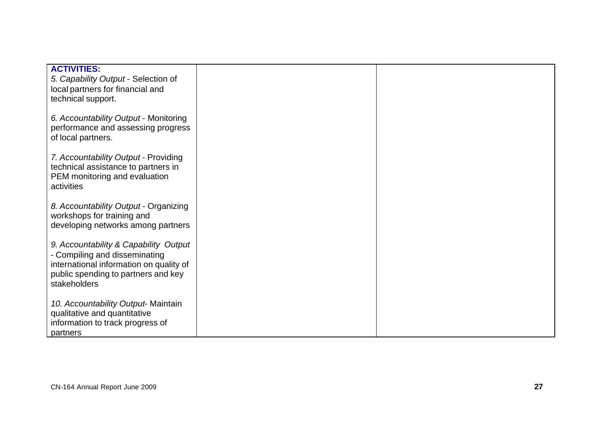| <b>ACTIVITIES:</b><br>5. Capability Output - Selection of<br>local partners for financial and                                                                            |  |
|--------------------------------------------------------------------------------------------------------------------------------------------------------------------------|--|
| technical support.<br>6. Accountability Output - Monitoring                                                                                                              |  |
| performance and assessing progress<br>of local partners.                                                                                                                 |  |
| 7. Accountability Output - Providing<br>technical assistance to partners in<br>PEM monitoring and evaluation<br>activities                                               |  |
| 8. Accountability Output - Organizing<br>workshops for training and<br>developing networks among partners                                                                |  |
| 9. Accountability & Capability Output<br>- Compiling and disseminating<br>international information on quality of<br>public spending to partners and key<br>stakeholders |  |
| 10. Accountability Output-Maintain<br>qualitative and quantitative<br>information to track progress of<br>partners                                                       |  |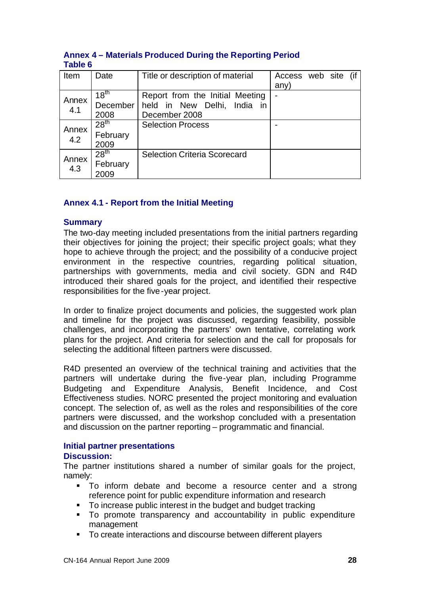| Item         | Date                                 | Title or description of material                                                | Access web site (if<br>any) |  |  |
|--------------|--------------------------------------|---------------------------------------------------------------------------------|-----------------------------|--|--|
| Annex<br>4.1 | 18 <sup>th</sup><br>December<br>2008 | Report from the Initial Meeting<br>held in New Delhi, India in<br>December 2008 |                             |  |  |
| Annex<br>4.2 | 28 <sup>th</sup><br>February<br>2009 | <b>Selection Process</b>                                                        |                             |  |  |
| Annex<br>4.3 | 28 <sup>th</sup><br>February<br>2009 | <b>Selection Criteria Scorecard</b>                                             |                             |  |  |

# **Annex 4 – Materials Produced During the Reporting Period Table 6**

# **Annex 4.1 - Report from the Initial Meeting**

#### **Summary**

The two-day meeting included presentations from the initial partners regarding their objectives for joining the project; their specific project goals; what they hope to achieve through the project; and the possibility of a conducive project environment in the respective countries, regarding political situation, partnerships with governments, media and civil society. GDN and R4D introduced their shared goals for the project, and identified their respective responsibilities for the five-year project.

In order to finalize project documents and policies, the suggested work plan and timeline for the project was discussed, regarding feasibility, possible challenges, and incorporating the partners' own tentative, correlating work plans for the project. And criteria for selection and the call for proposals for selecting the additional fifteen partners were discussed.

R4D presented an overview of the technical training and activities that the partners will undertake during the five-year plan, including Programme Budgeting and Expenditure Analysis, Benefit Incidence, and Cost Effectiveness studies. NORC presented the project monitoring and evaluation concept. The selection of, as well as the roles and responsibilities of the core partners were discussed, and the workshop concluded with a presentation and discussion on the partner reporting – programmatic and financial.

# **Initial partner presentations**

#### **Discussion:**

The partner institutions shared a number of similar goals for the project, namely:

- ß To inform debate and become a resource center and a strong reference point for public expenditure information and research
- To increase public interest in the budget and budget tracking
- $\blacksquare$  To promote transparency and accountability in public expenditure management
- To create interactions and discourse between different players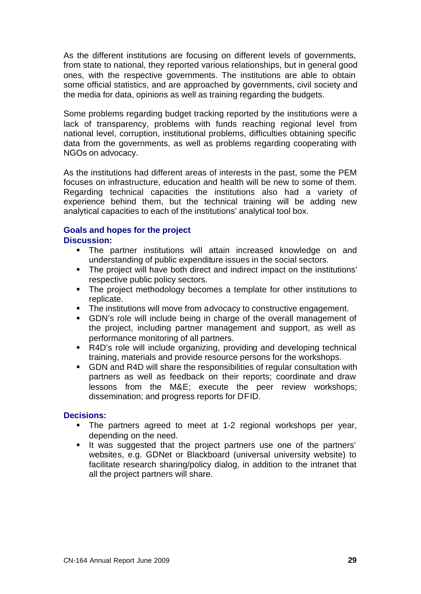As the different institutions are focusing on different levels of governments, from state to national, they reported various relationships, but in general good ones, with the respective governments. The institutions are able to obtain some official statistics, and are approached by governments, civil society and the media for data, opinions as well as training regarding the budgets.

Some problems regarding budget tracking reported by the institutions were a lack of transparency, problems with funds reaching regional level from national level, corruption, institutional problems, difficulties obtaining specific data from the governments, as well as problems regarding cooperating with NGOs on advocacy.

As the institutions had different areas of interests in the past, some the PEM focuses on infrastructure, education and health will be new to some of them. Regarding technical capacities the institutions also had a variety of experience behind them, but the technical training will be adding new analytical capacities to each of the institutions' analytical tool box.

# **Goals and hopes for the project**

# **Discussion:**

- **The partner institutions will attain increased knowledge on and** understanding of public expenditure issues in the social sectors.
- The project will have both direct and indirect impact on the institutions' respective public policy sectors.
- The project methodology becomes a template for other institutions to replicate.
- The institutions will move from advocacy to constructive engagement.
- **GDN's role will include being in charge of the overall management of** the project, including partner management and support, as well as performance monitoring of all partners.
- R4D's role will include organizing, providing and developing technical training, materials and provide resource persons for the workshops.
- **GDN** and R4D will share the responsibilities of regular consultation with partners as well as feedback on their reports; coordinate and draw lessons from the M&E; execute the peer review workshops; dissemination; and progress reports for DFID.

# **Decisions:**

- The partners agreed to meet at 1-2 regional workshops per year, depending on the need.
- If was suggested that the project partners use one of the partners' websites, e.g. GDNet or Blackboard (universal university website) to facilitate research sharing/policy dialog, in addition to the intranet that all the project partners will share.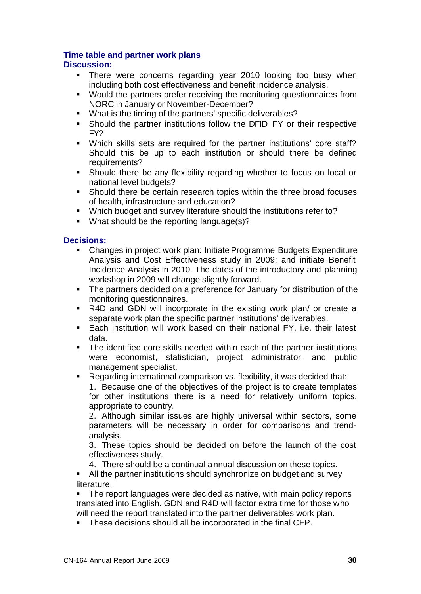# **Time table and partner work plans**

# **Discussion:**

- **There were concerns regarding year 2010 looking too busy when** including both cost effectiveness and benefit incidence analysis.
- Would the partners prefer receiving the monitoring questionnaires from NORC in January or November-December?
- **What is the timing of the partners' specific deliverables?**
- **Should the partner institutions follow the DFID FY or their respective** FY?
- Which skills sets are required for the partner institutions' core staff? Should this be up to each institution or should there be defined requirements?
- **Should there be any flexibility regarding whether to focus on local or** national level budgets?
- Should there be certain research topics within the three broad focuses of health, infrastructure and education?
- **Which budget and survey literature should the institutions refer to?**
- What should be the reporting language(s)?

# **Decisions:**

- Changes in project work plan: Initiate Programme Budgets Expenditure Analysis and Cost Effectiveness study in 2009; and initiate Benefit Incidence Analysis in 2010. The dates of the introductory and planning workshop in 2009 will change slightly forward.
- The partners decided on a preference for January for distribution of the monitoring questionnaires.
- R4D and GDN will incorporate in the existing work plan/ or create a separate work plan the specific partner institutions' deliverables.
- **Each institution will work based on their national FY, i.e. their latest** data.
- The identified core skills needed within each of the partner institutions were economist, statistician, project administrator, and public management specialist.
- Regarding international comparison vs. flexibility, it was decided that:

1. Because one of the objectives of the project is to create templates for other institutions there is a need for relatively uniform topics, appropriate to country.

2. Although similar issues are highly universal within sectors, some parameters will be necessary in order for comparisons and trendanalysis.

3. These topics should be decided on before the launch of the cost effectiveness study.

4. There should be a continual annual discussion on these topics.

**All the partner institutions should synchronize on budget and survey** literature.

The report languages were decided as native, with main policy reports translated into English. GDN and R4D will factor extra time for those who will need the report translated into the partner deliverables work plan.

**These decisions should all be incorporated in the final CFP.**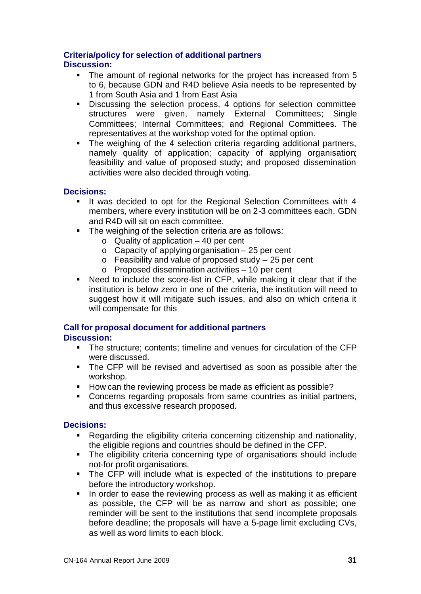# **Criteria/policy for selection of additional partners**

# **Discussion:**

- The amount of regional networks for the project has increased from 5 to 6, because GDN and R4D believe Asia needs to be represented by 1 from South Asia and 1 from East Asia
- **EXECT** Discussing the selection process, 4 options for selection committee structures were given, namely External Committees; Single Committees; Internal Committees; and Regional Committees. The representatives at the workshop voted for the optimal option.
- The weighing of the 4 selection criteria regarding additional partners, namely quality of application; capacity of applying organisation; feasibility and value of proposed study; and proposed dissemination activities were also decided through voting.

# **Decisions:**

- **If was decided to opt for the Regional Selection Committees with 4** members, where every institution will be on 2-3 committees each. GDN and R4D will sit on each committee.
- The weighing of the selection criteria are as follows:
	- $\circ$  Quality of application 40 per cent
	- $\circ$  Capacity of applying organisation 25 per cent
	- $\circ$  Feasibility and value of proposed study  $-25$  per cent
	- o Proposed dissemination activities 10 per cent
- Need to include the score-list in CFP, while making it clear that if the institution is below zero in one of the criteria, the institution will need to suggest how it will mitigate such issues, and also on which criteria it will compensate for this

#### **Call for proposal document for additional partners Discussion:**

- The structure; contents; timeline and venues for circulation of the CFP were discussed.
- The CFP will be revised and advertised as soon as possible after the workshop.
- How can the reviewing process be made as efficient as possible?
- ß Concerns regarding proposals from same countries as initial partners, and thus excessive research proposed.

# **Decisions:**

- **Regarding the eligibility criteria concerning citizenship and nationality,** the eligible regions and countries should be defined in the CFP.
- The eligibility criteria concerning type of organisations should include not-for profit organisations.
- The CFP will include what is expected of the institutions to prepare before the introductory workshop.
- In order to ease the reviewing process as well as making it as efficient as possible, the CFP will be as narrow and short as possible; one reminder will be sent to the institutions that send incomplete proposals before deadline; the proposals will have a 5-page limit excluding CVs, as well as word limits to each block.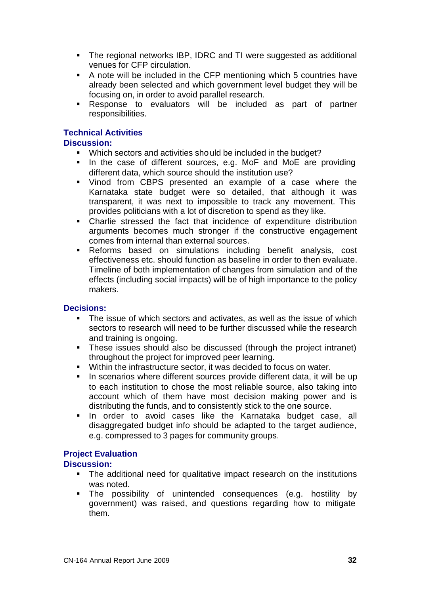- The regional networks IBP, IDRC and TI were suggested as additional venues for CFP circulation.
- A note will be included in the CFP mentioning which 5 countries have already been selected and which government level budget they will be focusing on, in order to avoid parallel research.
- **Response to evaluators will be included as part of partner** responsibilities.

# **Technical Activities**

# **Discussion:**

- Which sectors and activities should be included in the budget?
- In the case of different sources, e.g. MoF and MoE are providing different data, which source should the institution use?
- ß Vinod from CBPS presented an example of a case where the Karnataka state budget were so detailed, that although it was transparent, it was next to impossible to track any movement. This provides politicians with a lot of discretion to spend as they like.
- Charlie stressed the fact that incidence of expenditure distribution arguments becomes much stronger if the constructive engagement comes from internal than external sources.
- **Reforms based on simulations including benefit analysis, cost** effectiveness etc. should function as baseline in order to then evaluate. Timeline of both implementation of changes from simulation and of the effects (including social impacts) will be of high importance to the policy makers.

# **Decisions:**

- $\blacksquare$  The issue of which sectors and activates, as well as the issue of which sectors to research will need to be further discussed while the research and training is ongoing.
- These issues should also be discussed (through the project intranet) throughout the project for improved peer learning.
- **Within the infrastructure sector, it was decided to focus on water.**
- **IF** In scenarios where different sources provide different data, it will be up to each institution to chose the most reliable source, also taking into account which of them have most decision making power and is distributing the funds, and to consistently stick to the one source.
- **If** In order to avoid cases like the Karnataka budget case, all disaggregated budget info should be adapted to the target audience, e.g. compressed to 3 pages for community groups.

# **Project Evaluation**

# **Discussion:**

- The additional need for qualitative impact research on the institutions was noted.
- ß The possibility of unintended consequences (e.g. hostility by government) was raised, and questions regarding how to mitigate them.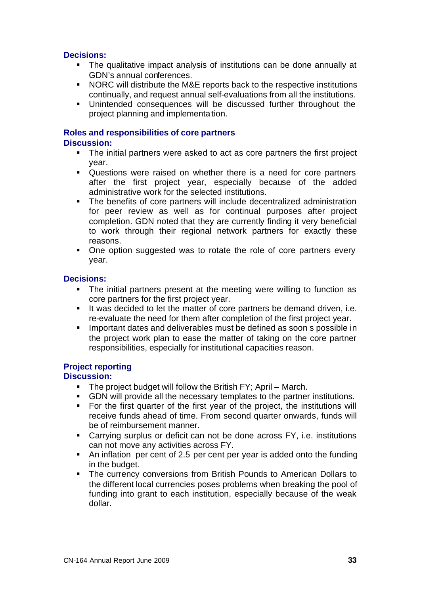# **Decisions:**

- The qualitative impact analysis of institutions can be done annually at GDN's annual conferences.
- NORC will distribute the M&E reports back to the respective institutions continually, and request annual self-evaluations from all the institutions.
- **EXECUTE:** Unintended consequences will be discussed further throughout the project planning and implementation.

# **Roles and responsibilities of core partners**

# **Discussion:**

- The initial partners were asked to act as core partners the first project year.
- Questions were raised on whether there is a need for core partners after the first project year, especially because of the added administrative work for the selected institutions.
- The benefits of core partners will include decentralized administration for peer review as well as for continual purposes after project completion. GDN noted that they are currently finding it very beneficial to work through their regional network partners for exactly these reasons.
- One option suggested was to rotate the role of core partners every year.

# **Decisions:**

- The initial partners present at the meeting were willing to function as core partners for the first project year.
- It was decided to let the matter of core partners be demand driven, i.e. re-evaluate the need for them after completion of the first project year.
- **IMPORTANTED IMMORGE IN A IMMORGE IN A IMMORGE IN STANDER IN STANDARY IN STANDARY IN STANDARY IN STANDARY IN ST** the project work plan to ease the matter of taking on the core partner responsibilities, especially for institutional capacities reason.

# **Project reporting**

# **Discussion:**

- ß The project budget will follow the British FY; April March.
- **GDN** will provide all the necessary templates to the partner institutions.
- For the first quarter of the first year of the project, the institutions will receive funds ahead of time. From second quarter onwards, funds will be of reimbursement manner.
- Carrying surplus or deficit can not be done across FY, i.e. institutions can not move any activities across FY.
- An inflation per cent of 2.5 per cent per year is added onto the funding in the budget.
- ß The currency conversions from British Pounds to American Dollars to the different local currencies poses problems when breaking the pool of funding into grant to each institution, especially because of the weak dollar.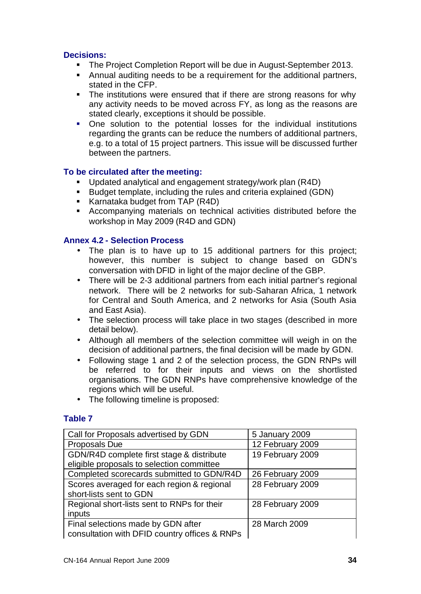# **Decisions:**

- **The Project Completion Report will be due in August-September 2013.**
- ß Annual auditing needs to be a requirement for the additional partners, stated in the CFP.
- The institutions were ensured that if there are strong reasons for why any activity needs to be moved across FY, as long as the reasons are stated clearly, exceptions it should be possible.
- One solution to the potential losses for the individual institutions regarding the grants can be reduce the numbers of additional partners, e.g. to a total of 15 project partners. This issue will be discussed further between the partners.

# **To be circulated after the meeting:**

- ß Updated analytical and engagement strategy/work plan (R4D)
- Budget template, including the rules and criteria explained (GDN)
- Karnataka budget from TAP (R4D)
- **EXECOMPANYING MATERIALS ON TECHNICAL ACTIVITIES distributed before the** workshop in May 2009 (R4D and GDN)

# **Annex 4.2 - Selection Process**

- The plan is to have up to 15 additional partners for this project; however, this number is subject to change based on GDN's conversation with DFID in light of the major decline of the GBP.
- There will be 2-3 additional partners from each initial partner's regional network. There will be 2 networks for sub-Saharan Africa, 1 network for Central and South America, and 2 networks for Asia (South Asia and East Asia).
- The selection process will take place in two stages (described in more detail below).
- Although all members of the selection committee will weigh in on the decision of additional partners, the final decision will be made by GDN.
- Following stage 1 and 2 of the selection process, the GDN RNPs will be referred to for their inputs and views on the shortlisted organisations. The GDN RNPs have comprehensive knowledge of the regions which will be useful.
- The following timeline is proposed:

# **Table 7**

| Call for Proposals advertised by GDN          | 5 January 2009   |
|-----------------------------------------------|------------------|
| Proposals Due                                 | 12 February 2009 |
| GDN/R4D complete first stage & distribute     | 19 February 2009 |
| eligible proposals to selection committee     |                  |
| Completed scorecards submitted to GDN/R4D     | 26 February 2009 |
| Scores averaged for each region & regional    | 28 February 2009 |
| short-lists sent to GDN                       |                  |
| Regional short-lists sent to RNPs for their   | 28 February 2009 |
| inputs                                        |                  |
| Final selections made by GDN after            | 28 March 2009    |
| consultation with DFID country offices & RNPs |                  |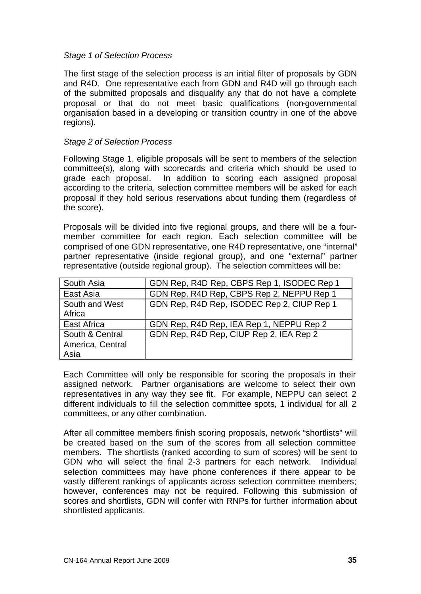#### *Stage 1 of Selection Process*

The first stage of the selection process is an initial filter of proposals by GDN and R4D. One representative each from GDN and R4D will go through each of the submitted proposals and disqualify any that do not have a complete proposal or that do not meet basic qualifications (non-governmental organisation based in a developing or transition country in one of the above regions).

#### *Stage 2 of Selection Process*

Following Stage 1, eligible proposals will be sent to members of the selection committee(s), along with scorecards and criteria which should be used to grade each proposal. In addition to scoring each assigned proposal according to the criteria, selection committee members will be asked for each proposal if they hold serious reservations about funding them (regardless of the score).

Proposals will be divided into five regional groups, and there will be a fourmember committee for each region. Each selection committee will be comprised of one GDN representative, one R4D representative, one "internal" partner representative (inside regional group), and one "external" partner representative (outside regional group). The selection committees will be:

| South Asia                                  | GDN Rep, R4D Rep, CBPS Rep 1, ISODEC Rep 1 |
|---------------------------------------------|--------------------------------------------|
| East Asia                                   | GDN Rep, R4D Rep, CBPS Rep 2, NEPPU Rep 1  |
| South and West<br>Africa                    | GDN Rep, R4D Rep, ISODEC Rep 2, CIUP Rep 1 |
| East Africa                                 | GDN Rep, R4D Rep, IEA Rep 1, NEPPU Rep 2   |
| South & Central<br>America, Central<br>Asia | GDN Rep, R4D Rep, CIUP Rep 2, IEA Rep 2    |

Each Committee will only be responsible for scoring the proposals in their assigned network. Partner organisations are welcome to select their own representatives in any way they see fit. For example, NEPPU can select 2 different individuals to fill the selection committee spots, 1 individual for all 2 committees, or any other combination.

After all committee members finish scoring proposals, network "shortlists" will be created based on the sum of the scores from all selection committee members. The shortlists (ranked according to sum of scores) will be sent to GDN who will select the final 2-3 partners for each network. Individual selection committees may have phone conferences if there appear to be vastly different rankings of applicants across selection committee members; however, conferences may not be required. Following this submission of scores and shortlists, GDN will confer with RNPs for further information about shortlisted applicants.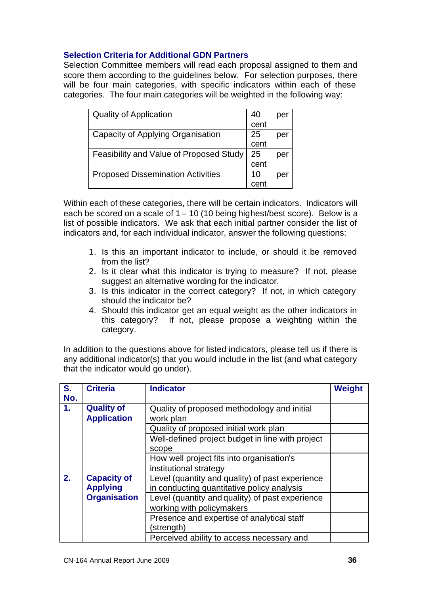# **Selection Criteria for Additional GDN Partners**

Selection Committee members will read each proposal assigned to them and score them according to the guidelines below. For selection purposes, there will be four main categories, with specific indicators within each of these categories. The four main categories will be weighted in the following way:

| <b>Quality of Application</b>            | 40   | per |
|------------------------------------------|------|-----|
|                                          | cent |     |
| Capacity of Applying Organisation        | 25   | per |
|                                          | cent |     |
| Feasibility and Value of Proposed Study  | 25   | per |
|                                          | cent |     |
| <b>Proposed Dissemination Activities</b> | 10   | per |
|                                          |      |     |

Within each of these categories, there will be certain indicators. Indicators will each be scored on a scale of  $1 - 10$  (10 being highest/best score). Below is a list of possible indicators. We ask that each initial partner consider the list of indicators and, for each individual indicator, answer the following questions:

- 1. Is this an important indicator to include, or should it be removed from the list?
- 2. Is it clear what this indicator is trying to measure? If not, please suggest an alternative wording for the indicator.
- 3. Is this indicator in the correct category? If not, in which category should the indicator be?
- 4. Should this indicator get an equal weight as the other indicators in this category? If not, please propose a weighting within the category.

In addition to the questions above for listed indicators, please tell us if there is any additional indicator(s) that you would include in the list (and what category that the indicator would go under).

| S.  | <b>Criteria</b>     | <b>Indicator</b>                                 | Weight |
|-----|---------------------|--------------------------------------------------|--------|
| No. |                     |                                                  |        |
| 1.  | <b>Quality of</b>   | Quality of proposed methodology and initial      |        |
|     | <b>Application</b>  | work plan                                        |        |
|     |                     | Quality of proposed initial work plan            |        |
|     |                     | Well-defined project budget in line with project |        |
|     |                     | scope                                            |        |
|     |                     | How well project fits into organisation's        |        |
|     |                     | institutional strategy                           |        |
| 2.  | <b>Capacity of</b>  | Level (quantity and quality) of past experience  |        |
|     | <b>Applying</b>     | in conducting quantitative policy analysis       |        |
|     | <b>Organisation</b> | Level (quantity and quality) of past experience  |        |
|     |                     | working with policymakers                        |        |
|     |                     | Presence and expertise of analytical staff       |        |
|     |                     | (strength)                                       |        |
|     |                     | Perceived ability to access necessary and        |        |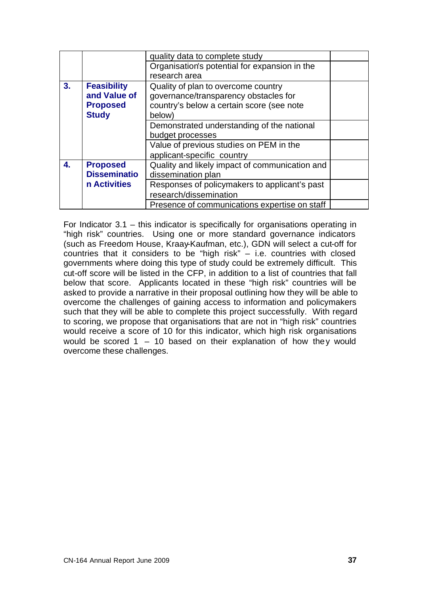|    |                     | quality data to complete study                 |  |
|----|---------------------|------------------------------------------------|--|
|    |                     | Organisation's potential for expansion in the  |  |
|    |                     | research area                                  |  |
| 3. | <b>Feasibility</b>  | Quality of plan to overcome country            |  |
|    | and Value of        | governance/transparency obstacles for          |  |
|    | <b>Proposed</b>     | country's below a certain score (see note      |  |
|    | <b>Study</b>        | below)                                         |  |
|    |                     | Demonstrated understanding of the national     |  |
|    |                     | budget processes                               |  |
|    |                     | Value of previous studies on PEM in the        |  |
|    |                     | applicant-specific country                     |  |
| 4. | <b>Proposed</b>     | Quality and likely impact of communication and |  |
|    | <b>Disseminatio</b> | dissemination plan                             |  |
|    | n Activities        | Responses of policymakers to applicant's past  |  |
|    |                     | research/dissemination                         |  |
|    |                     | Presence of communications expertise on staff  |  |

For Indicator 3.1 – this indicator is specifically for organisations operating in "high risk" countries. Using one or more standard governance indicators (such as Freedom House, Kraay-Kaufman, etc.), GDN will select a cut-off for countries that it considers to be "high risk" – i.e. countries with closed governments where doing this type of study could be extremely difficult. This cut-off score will be listed in the CFP, in addition to a list of countries that fall below that score. Applicants located in these "high risk" countries will be asked to provide a narrative in their proposal outlining how they will be able to overcome the challenges of gaining access to information and policymakers such that they will be able to complete this project successfully. With regard to scoring, we propose that organisations that are not in "high risk" countries would receive a score of 10 for this indicator, which high risk organisations would be scored  $1 - 10$  based on their explanation of how they would overcome these challenges.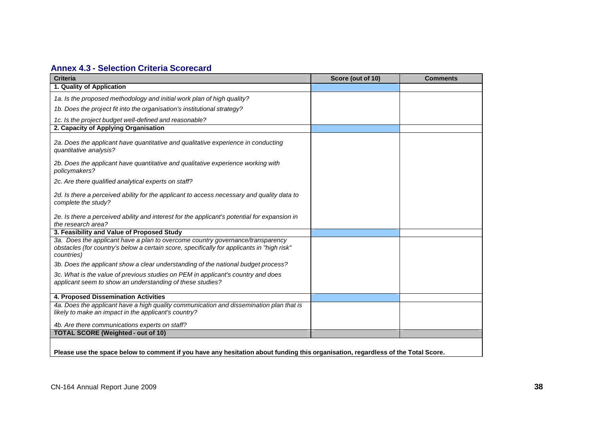# **Annex 4.3 - Selection Criteria Scorecard**

| <b>Criteria</b>                                                                                                                                                                            | Score (out of 10) | <b>Comments</b> |
|--------------------------------------------------------------------------------------------------------------------------------------------------------------------------------------------|-------------------|-----------------|
| 1. Quality of Application                                                                                                                                                                  |                   |                 |
| 1a. Is the proposed methodology and initial work plan of high quality?                                                                                                                     |                   |                 |
| 1b. Does the project fit into the organisation's institutional strategy?                                                                                                                   |                   |                 |
| 1c. Is the project budget well-defined and reasonable?                                                                                                                                     |                   |                 |
| 2. Capacity of Applying Organisation                                                                                                                                                       |                   |                 |
| 2a. Does the applicant have quantitative and qualitative experience in conducting<br>quantitative analysis?                                                                                |                   |                 |
| 2b. Does the applicant have quantitative and qualitative experience working with<br>policymakers?                                                                                          |                   |                 |
| 2c. Are there qualified analytical experts on staff?                                                                                                                                       |                   |                 |
| 2d. Is there a perceived ability for the applicant to access necessary and quality data to<br>complete the study?                                                                          |                   |                 |
| 2e. Is there a perceived ability and interest for the applicant's potential for expansion in<br>the research area?                                                                         |                   |                 |
| 3. Feasibility and Value of Proposed Study                                                                                                                                                 |                   |                 |
| 3a. Does the applicant have a plan to overcome country governance/transparency<br>obstacles (for country's below a certain score, specifically for applicants in "high risk"<br>countries) |                   |                 |
| 3b. Does the applicant show a clear understanding of the national budget process?                                                                                                          |                   |                 |
| 3c. What is the value of previous studies on PEM in applicant's country and does<br>applicant seem to show an understanding of these studies?                                              |                   |                 |
| 4. Proposed Dissemination Activities                                                                                                                                                       |                   |                 |
| 4a. Does the applicant have a high quality communication and dissemination plan that is<br>likely to make an impact in the applicant's country?                                            |                   |                 |
| 4b. Are there communications experts on staff?                                                                                                                                             |                   |                 |
| <b>TOTAL SCORE (Weighted - out of 10)</b>                                                                                                                                                  |                   |                 |
| Please use the space below to comment if you have any hesitation about funding this organisation, regardless of the Total Score.                                                           |                   |                 |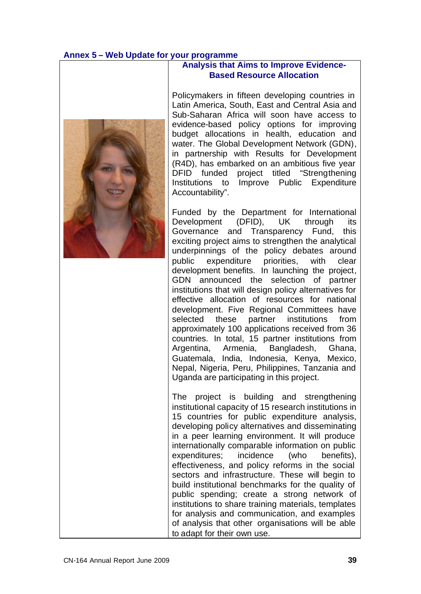# **Annex 5 – Web Update for your programme**



#### **Analysis that Aims to Improve Evidence-Based Resource Allocation**

Policymakers in fifteen developing countries in Latin America, South, East and Central Asia and Sub-Saharan Africa will soon have access to evidence-based policy options for improving budget allocations in health, education and water. The Global Development Network (GDN), in partnership with Results for Development (R4D), has embarked on an ambitious five year DFID funded project titled "Strengthening Institutions to Improve Public Expenditure Accountability".

Funded by the Department for International Development (DFID), UK through its Governance and Transparency Fund, this exciting project aims to strengthen the analytical underpinnings of the policy debates around public expenditure priorities, with clear development benefits. In launching the project, GDN announced the selection of partner institutions that will design policy alternatives for effective allocation of resources for national development. Five Regional Committees have selected these partner institutions from approximately 100 applications received from 36 countries. In total, 15 partner institutions from Argentina, Armenia, Bangladesh, Ghana, Guatemala, India, Indonesia, Kenya, Mexico, Nepal, Nigeria, Peru, Philippines, Tanzania and Uganda are participating in this project.

The project is building and strengthening institutional capacity of 15 research institutions in 15 countries for public expenditure analysis, developing policy alternatives and disseminating in a peer learning environment. It will produce internationally comparable information on public expenditures; incidence (who benefits), effectiveness, and policy reforms in the social sectors and infrastructure. These will begin to build institutional benchmarks for the quality of public spending; create a strong network of institutions to share training materials, templates for analysis and communication, and examples of analysis that other organisations will be able to adapt for their own use.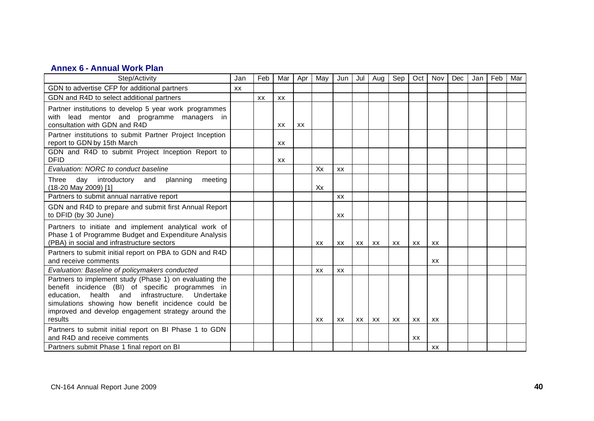# **Annex 6 - Annual Work Plan**

| Step/Activity                                                                                                                                                                                                                                                                          |  | Feb | Mar       | Apr | May       | Jun       | Jul | Aug | Sep | Oct       | Nov       | Dec | Jan | Feb | Mar |
|----------------------------------------------------------------------------------------------------------------------------------------------------------------------------------------------------------------------------------------------------------------------------------------|--|-----|-----------|-----|-----------|-----------|-----|-----|-----|-----------|-----------|-----|-----|-----|-----|
| GDN to advertise CFP for additional partners                                                                                                                                                                                                                                           |  |     |           |     |           |           |     |     |     |           |           |     |     |     |     |
| GDN and R4D to select additional partners                                                                                                                                                                                                                                              |  | XX  | XX        |     |           |           |     |     |     |           |           |     |     |     |     |
| Partner institutions to develop 5 year work programmes<br>lead mentor and programme managers in<br>with<br>consultation with GDN and R4D                                                                                                                                               |  |     | XX        | XX  |           |           |     |     |     |           |           |     |     |     |     |
| Partner institutions to submit Partner Project Inception<br>report to GDN by 15th March                                                                                                                                                                                                |  |     | <b>XX</b> |     |           |           |     |     |     |           |           |     |     |     |     |
| GDN and R4D to submit Project Inception Report to<br><b>DFID</b>                                                                                                                                                                                                                       |  |     | XX        |     |           |           |     |     |     |           |           |     |     |     |     |
| Evaluation: NORC to conduct baseline                                                                                                                                                                                                                                                   |  |     |           |     | Xx        | <b>XX</b> |     |     |     |           |           |     |     |     |     |
| day introductory<br>Three<br>and<br>planning<br>meeting<br>(18-20 May 2009) [1]                                                                                                                                                                                                        |  |     |           |     | Xx        |           |     |     |     |           |           |     |     |     |     |
| Partners to submit annual narrative report                                                                                                                                                                                                                                             |  |     |           |     |           | <b>XX</b> |     |     |     |           |           |     |     |     |     |
| GDN and R4D to prepare and submit first Annual Report<br>to DFID (by 30 June)                                                                                                                                                                                                          |  |     |           |     |           | XX        |     |     |     |           |           |     |     |     |     |
| Partners to initiate and implement analytical work of<br>Phase 1 of Programme Budget and Expenditure Analysis<br>(PBA) in social and infrastructure sectors                                                                                                                            |  |     |           |     | XX        | XX        | XX  | XX  | XX  | XX        | XX        |     |     |     |     |
| Partners to submit initial report on PBA to GDN and R4D<br>and receive comments                                                                                                                                                                                                        |  |     |           |     |           |           |     |     |     |           | XX        |     |     |     |     |
| Evaluation: Baseline of policymakers conducted                                                                                                                                                                                                                                         |  |     |           |     | <b>XX</b> | XX        |     |     |     |           |           |     |     |     |     |
| Partners to implement study (Phase 1) on evaluating the<br>benefit incidence (BI) of specific programmes in<br>education, health and infrastructure. Undertake<br>simulations showing how benefit incidence could be<br>improved and develop engagement strategy around the<br>results |  |     |           |     | <b>XX</b> | XX        | XX  | XX  | XX  | <b>XX</b> | XX        |     |     |     |     |
| Partners to submit initial report on BI Phase 1 to GDN<br>and R4D and receive comments                                                                                                                                                                                                 |  |     |           |     |           |           |     |     |     | XX        |           |     |     |     |     |
| Partners submit Phase 1 final report on BI                                                                                                                                                                                                                                             |  |     |           |     |           |           |     |     |     |           | <b>XX</b> |     |     |     |     |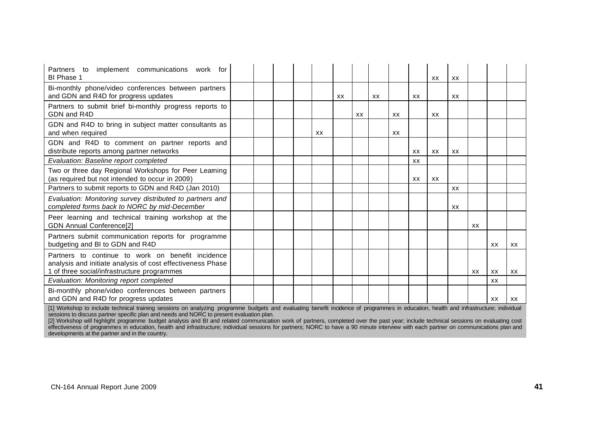| Partners<br>to implement communications work for<br>BI Phase 1                                                                                                 |  |           |    |    |    |    |           | XX | XX        |           |           |    |
|----------------------------------------------------------------------------------------------------------------------------------------------------------------|--|-----------|----|----|----|----|-----------|----|-----------|-----------|-----------|----|
| Bi-monthly phone/video conferences between partners<br>and GDN and R4D for progress updates                                                                    |  |           | XX |    | XX |    | XX        |    | XX        |           |           |    |
| Partners to submit brief bi-monthly progress reports to<br>GDN and R4D                                                                                         |  |           |    | XX |    | XX |           | XX |           |           |           |    |
| GDN and R4D to bring in subject matter consultants as<br>and when required                                                                                     |  | <b>XX</b> |    |    |    | XX |           |    |           |           |           |    |
| GDN and R4D to comment on partner reports and<br>distribute reports among partner networks                                                                     |  |           |    |    |    |    | XX        | XX | XX        |           |           |    |
| Evaluation: Baseline report completed                                                                                                                          |  |           |    |    |    |    | <b>XX</b> |    |           |           |           |    |
| Two or three day Regional Workshops for Peer Leaming<br>(as required but not intended to occur in 2009)                                                        |  |           |    |    |    |    | XX        | XX |           |           |           |    |
| Partners to submit reports to GDN and R4D (Jan 2010)                                                                                                           |  |           |    |    |    |    |           |    | <b>XX</b> |           |           |    |
| Evaluation: Monitoring survey distributed to partners and<br>completed forms back to NORC by mid-December                                                      |  |           |    |    |    |    |           |    | <b>XX</b> |           |           |    |
| Peer learning and technical training workshop at the<br><b>GDN Annual Conference[2]</b>                                                                        |  |           |    |    |    |    |           |    |           | XX        |           |    |
| Partners submit communication reports for programme<br>budgeting and BI to GDN and R4D                                                                         |  |           |    |    |    |    |           |    |           |           | XX        | XX |
| Partners to continue to work on benefit incidence<br>analysis and initiate analysis of cost effectiveness Phase<br>1 of three social/infrastructure programmes |  |           |    |    |    |    |           |    |           | <b>XX</b> | XX        | XX |
| Evaluation: Monitoring report completed                                                                                                                        |  |           |    |    |    |    |           |    |           |           | <b>XX</b> |    |
| Bi-monthly phone/video conferences between partners<br>and GDN and R4D for progress updates                                                                    |  |           |    |    |    |    |           |    |           |           | XX        | XX |

[1] Workshop to include technical training sessions on analyzing programme budgets and evaluating benefit incidence of programmes in education, health and infrastructure; individual sessions to discuss partner specific plan and needs and NORC to present evaluation plan.

[2] Workshop will highlight programme budget analysis and BI and related communication work of partners, completed over the past year; include technical sessions on evaluating cost effectiveness of programmes in education, health and infrastructure; individual sessions for partners; NORC to have a 90 minute interview with each partner on communications plan and developments at the partner and in the country.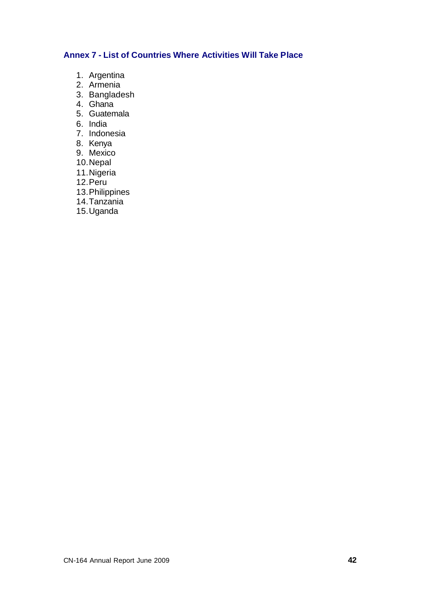# **Annex 7 - List of Countries Where Activities Will Take Place**

- 1. Argentina
- 2. Armenia
- 3. Bangladesh
- 4. Ghana
- 5. Guatemala
- 6. India
- 7. Indonesia
- 8. Kenya
- 9. Mexico
- 10.Nepal
- 11.Nigeria
- 12.Peru
- 13.Philippines
- 14.Tanzania
- 15.Uganda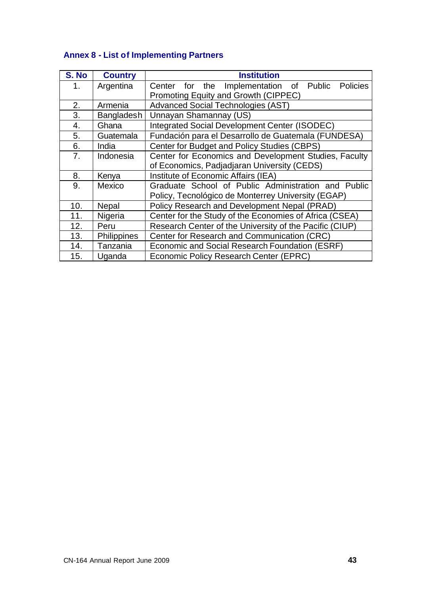| S. No | <b>Country</b>     | <b>Institution</b>                                      |  |  |  |  |  |  |  |  |  |
|-------|--------------------|---------------------------------------------------------|--|--|--|--|--|--|--|--|--|
| 1.    | Argentina          | Center for the<br>Implementation of Public Policies     |  |  |  |  |  |  |  |  |  |
|       |                    | Promoting Equity and Growth (CIPPEC)                    |  |  |  |  |  |  |  |  |  |
| 2.    | Armenia            | <b>Advanced Social Technologies (AST)</b>               |  |  |  |  |  |  |  |  |  |
| 3.    | Bangladesh         | Unnayan Shamannay (US)                                  |  |  |  |  |  |  |  |  |  |
| 4.    | Ghana              | Integrated Social Development Center (ISODEC)           |  |  |  |  |  |  |  |  |  |
| 5.    | Guatemala          | Fundación para el Desarrollo de Guatemala (FUNDESA)     |  |  |  |  |  |  |  |  |  |
| 6.    | India              | Center for Budget and Policy Studies (CBPS)             |  |  |  |  |  |  |  |  |  |
| 7.    | Indonesia          | Center for Economics and Development Studies, Faculty   |  |  |  |  |  |  |  |  |  |
|       |                    | of Economics, Padjadjaran University (CEDS)             |  |  |  |  |  |  |  |  |  |
| 8.    | Kenya              | Institute of Economic Affairs (IEA)                     |  |  |  |  |  |  |  |  |  |
| 9.    | Mexico             | Graduate School of Public Administration and Public     |  |  |  |  |  |  |  |  |  |
|       |                    | Policy, Tecnológico de Monterrey University (EGAP)      |  |  |  |  |  |  |  |  |  |
| 10.   | Nepal              | Policy Research and Development Nepal (PRAD)            |  |  |  |  |  |  |  |  |  |
| 11.   | Nigeria            | Center for the Study of the Economies of Africa (CSEA)  |  |  |  |  |  |  |  |  |  |
| 12.   | Peru               | Research Center of the University of the Pacific (CIUP) |  |  |  |  |  |  |  |  |  |
| 13.   | <b>Philippines</b> | Center for Research and Communication (CRC)             |  |  |  |  |  |  |  |  |  |
| 14.   | Tanzania           | Economic and Social Research Foundation (ESRF)          |  |  |  |  |  |  |  |  |  |
| 15.   | Uganda             | Economic Policy Research Center (EPRC)                  |  |  |  |  |  |  |  |  |  |

# **Annex 8 - List of Implementing Partners**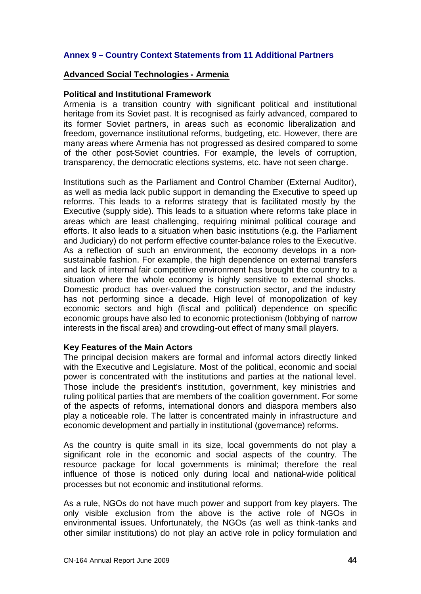# **Annex 9 – Country Context Statements from 11 Additional Partners**

#### **Advanced Social Technologies - Armenia**

#### **Political and Institutional Framework**

Armenia is a transition country with significant political and institutional heritage from its Soviet past. It is recognised as fairly advanced, compared to its former Soviet partners, in areas such as economic liberalization and freedom, governance institutional reforms, budgeting, etc. However, there are many areas where Armenia has not progressed as desired compared to some of the other post-Soviet countries. For example, the levels of corruption, transparency, the democratic elections systems, etc. have not seen change.

Institutions such as the Parliament and Control Chamber (External Auditor), as well as media lack public support in demanding the Executive to speed up reforms. This leads to a reforms strategy that is facilitated mostly by the Executive (supply side). This leads to a situation where reforms take place in areas which are least challenging, requiring minimal political courage and efforts. It also leads to a situation when basic institutions (e.g. the Parliament and Judiciary) do not perform effective counter-balance roles to the Executive. As a reflection of such an environment, the economy develops in a nonsustainable fashion. For example, the high dependence on external transfers and lack of internal fair competitive environment has brought the country to a situation where the whole economy is highly sensitive to external shocks. Domestic product has over-valued the construction sector, and the industry has not performing since a decade. High level of monopolization of key economic sectors and high (fiscal and political) dependence on specific economic groups have also led to economic protectionism (lobbying of narrow interests in the fiscal area) and crowding-out effect of many small players.

# **Key Features of the Main Actors**

The principal decision makers are formal and informal actors directly linked with the Executive and Legislature. Most of the political, economic and social power is concentrated with the institutions and parties at the national level. Those include the president's institution, government, key ministries and ruling political parties that are members of the coalition government. For some of the aspects of reforms, international donors and diaspora members also play a noticeable role. The latter is concentrated mainly in infrastructure and economic development and partially in institutional (governance) reforms.

As the country is quite small in its size, local governments do not play a significant role in the economic and social aspects of the country. The resource package for local governments is minimal; therefore the real influence of those is noticed only during local and national-wide political processes but not economic and institutional reforms.

As a rule, NGOs do not have much power and support from key players. The only visible exclusion from the above is the active role of NGOs in environmental issues. Unfortunately, the NGOs (as well as think-tanks and other similar institutions) do not play an active role in policy formulation and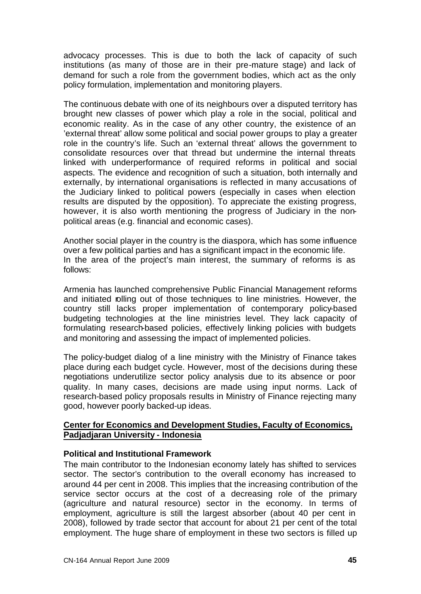advocacy processes. This is due to both the lack of capacity of such institutions (as many of those are in their pre-mature stage) and lack of demand for such a role from the government bodies, which act as the only policy formulation, implementation and monitoring players.

The continuous debate with one of its neighbours over a disputed territory has brought new classes of power which play a role in the social, political and economic reality. As in the case of any other country, the existence of an 'external threat' allow some political and social power groups to play a greater role in the country's life. Such an 'external threat' allows the government to consolidate resources over that thread but undermine the internal threats linked with underperformance of required reforms in political and social aspects. The evidence and recognition of such a situation, both internally and externally, by international organisations is reflected in many accusations of the Judiciary linked to political powers (especially in cases when election results are disputed by the opposition). To appreciate the existing progress, however, it is also worth mentioning the progress of Judiciary in the nonpolitical areas (e.g. financial and economic cases).

Another social player in the country is the diaspora, which has some influence over a few political parties and has a significant impact in the economic life. In the area of the project's main interest, the summary of reforms is as follows:

Armenia has launched comprehensive Public Financial Management reforms and initiated rolling out of those techniques to line ministries. However, the country still lacks proper implementation of contemporary policy-based budgeting technologies at the line ministries level. They lack capacity of formulating research-based policies, effectively linking policies with budgets and monitoring and assessing the impact of implemented policies.

The policy-budget dialog of a line ministry with the Ministry of Finance takes place during each budget cycle. However, most of the decisions during these negotiations underutilize sector policy analysis due to its absence or poor quality. In many cases, decisions are made using input norms. Lack of research-based policy proposals results in Ministry of Finance rejecting many good, however poorly backed-up ideas.

# **Center for Economics and Development Studies, Faculty of Economics, Padjadjaran University - Indonesia**

# **Political and Institutional Framework**

The main contributor to the Indonesian economy lately has shifted to services sector. The sector's contribution to the overall economy has increased to around 44 per cent in 2008. This implies that the increasing contribution of the service sector occurs at the cost of a decreasing role of the primary (agriculture and natural resource) sector in the economy. In terms of employment, agriculture is still the largest absorber (about 40 per cent in 2008), followed by trade sector that account for about 21 per cent of the total employment. The huge share of employment in these two sectors is filled up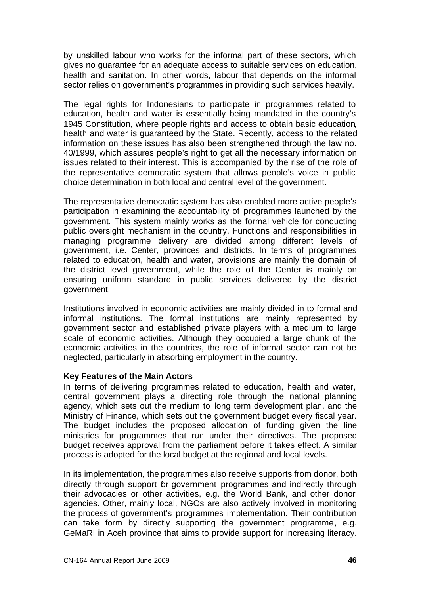by unskilled labour who works for the informal part of these sectors, which gives no guarantee for an adequate access to suitable services on education, health and sanitation. In other words, labour that depends on the informal sector relies on government's programmes in providing such services heavily.

The legal rights for Indonesians to participate in programmes related to education, health and water is essentially being mandated in the country's 1945 Constitution, where people rights and access to obtain basic education, health and water is guaranteed by the State. Recently, access to the related information on these issues has also been strengthened through the law no. 40/1999, which assures people's right to get all the necessary information on issues related to their interest. This is accompanied by the rise of the role of the representative democratic system that allows people's voice in public choice determination in both local and central level of the government.

The representative democratic system has also enabled more active people's participation in examining the accountability of programmes launched by the government. This system mainly works as the formal vehicle for conducting public oversight mechanism in the country. Functions and responsibilities in managing programme delivery are divided among different levels of government, i.e. Center, provinces and districts. In terms of programmes related to education, health and water, provisions are mainly the domain of the district level government, while the role of the Center is mainly on ensuring uniform standard in public services delivered by the district government.

Institutions involved in economic activities are mainly divided in to formal and informal institutions. The formal institutions are mainly represented by government sector and established private players with a medium to large scale of economic activities. Although they occupied a large chunk of the economic activities in the countries, the role of informal sector can not be neglected, particularly in absorbing employment in the country.

# **Key Features of the Main Actors**

In terms of delivering programmes related to education, health and water, central government plays a directing role through the national planning agency, which sets out the medium to long term development plan, and the Ministry of Finance, which sets out the government budget every fiscal year. The budget includes the proposed allocation of funding given the line ministries for programmes that run under their directives. The proposed budget receives approval from the parliament before it takes effect. A similar process is adopted for the local budget at the regional and local levels.

In its implementation, the programmes also receive supports from donor, both directly through support br government programmes and indirectly through their advocacies or other activities, e.g. the World Bank, and other donor agencies. Other, mainly local, NGOs are also actively involved in monitoring the process of government's programmes implementation. Their contribution can take form by directly supporting the government programme, e.g. GeMaRI in Aceh province that aims to provide support for increasing literacy.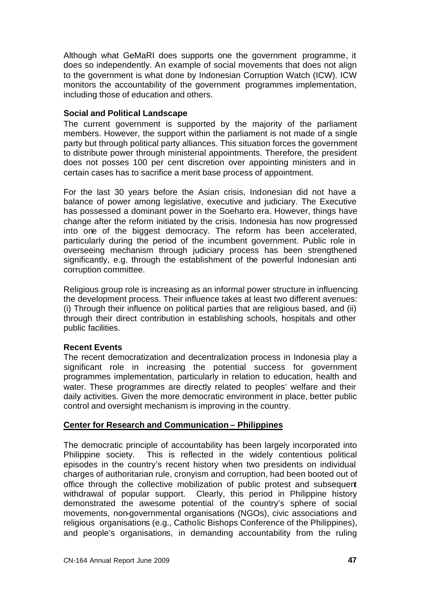Although what GeMaRI does supports one the government programme, it does so independently. An example of social movements that does not align to the government is what done by Indonesian Corruption Watch (ICW). ICW monitors the accountability of the government programmes implementation, including those of education and others.

# **Social and Political Landscape**

The current government is supported by the majority of the parliament members. However, the support within the parliament is not made of a single party but through political party alliances. This situation forces the government to distribute power through ministerial appointments. Therefore, the president does not posses 100 per cent discretion over appointing ministers and in certain cases has to sacrifice a merit base process of appointment.

For the last 30 years before the Asian crisis, Indonesian did not have a balance of power among legislative, executive and judiciary. The Executive has possessed a dominant power in the Soeharto era. However, things have change after the reform initiated by the crisis. Indonesia has now progressed into one of the biggest democracy. The reform has been accelerated, particularly during the period of the incumbent government. Public role in overseeing mechanism through judiciary process has been strengthened significantly, e.g. through the establishment of the powerful Indonesian anti corruption committee.

Religious group role is increasing as an informal power structure in influencing the development process. Their influence takes at least two different avenues: (i) Through their influence on political parties that are religious based, and (ii) through their direct contribution in establishing schools, hospitals and other public facilities.

# **Recent Events**

The recent democratization and decentralization process in Indonesia play a significant role in increasing the potential success for government programmes implementation, particularly in relation to education, health and water. These programmes are directly related to peoples' welfare and their daily activities. Given the more democratic environment in place, better public control and oversight mechanism is improving in the country.

# **Center for Research and Communication – Philippines**

The democratic principle of accountability has been largely incorporated into Philippine society. This is reflected in the widely contentious political episodes in the country's recent history when two presidents on individual charges of authoritarian rule, cronyism and corruption, had been booted out of office through the collective mobilization of public protest and subsequent withdrawal of popular support. Clearly, this period in Philippine history demonstrated the awesome potential of the country's sphere of social movements, non-governmental organisations (NGOs), civic associations and religious organisations (e.g., Catholic Bishops Conference of the Philippines), and people's organisations, in demanding accountability from the ruling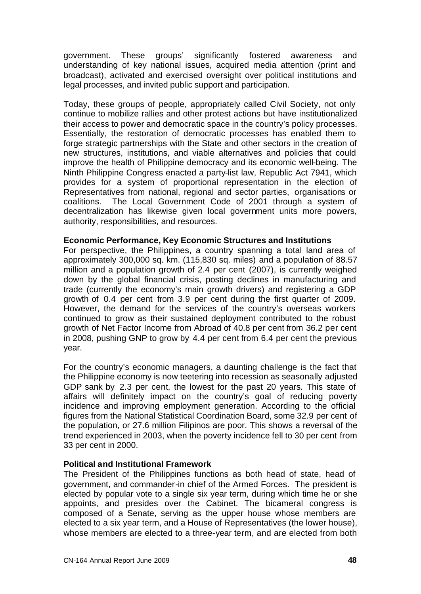government. These groups' significantly fostered awareness and understanding of key national issues, acquired media attention (print and broadcast), activated and exercised oversight over political institutions and legal processes, and invited public support and participation.

Today, these groups of people, appropriately called Civil Society, not only continue to mobilize rallies and other protest actions but have institutionalized their access to power and democratic space in the country's policy processes. Essentially, the restoration of democratic processes has enabled them to forge strategic partnerships with the State and other sectors in the creation of new structures, institutions, and viable alternatives and policies that could improve the health of Philippine democracy and its economic well-being. The Ninth Philippine Congress enacted a party-list law, Republic Act 7941, which provides for a system of proportional representation in the election of Representatives from national, regional and sector parties, organisations or coalitions. The Local Government Code of 2001 through a system of decentralization has likewise given local government units more powers, authority, responsibilities, and resources.

#### **Economic Performance, Key Economic Structures and Institutions**

For perspective, the Philippines, a country spanning a total land area of approximately 300,000 sq. km. (115,830 sq. miles) and a population of 88.57 million and a population growth of 2.4 per cent (2007), is currently weighed down by the global financial crisis, posting declines in manufacturing and trade (currently the economy's main growth drivers) and registering a GDP growth of 0.4 per cent from 3.9 per cent during the first quarter of 2009. However, the demand for the services of the country's overseas workers continued to grow as their sustained deployment contributed to the robust growth of Net Factor Income from Abroad of 40.8 per cent from 36.2 per cent in 2008, pushing GNP to grow by 4.4 per cent from 6.4 per cent the previous year.

For the country's economic managers, a daunting challenge is the fact that the Philippine economy is now teetering into recession as seasonally adjusted GDP sank by 2.3 per cent, the lowest for the past 20 years. This state of affairs will definitely impact on the country's goal of reducing poverty incidence and improving employment generation. According to the official figures from the National Statistical Coordination Board, some 32.9 per cent of the population, or 27.6 million Filipinos are poor. This shows a reversal of the trend experienced in 2003, when the poverty incidence fell to 30 per cent from 33 per cent in 2000.

#### **Political and Institutional Framework**

The President of the Philippines functions as both head of state, head of government, and commander-in chief of the Armed Forces. The president is elected by popular vote to a single six year term, during which time he or she appoints, and presides over the Cabinet. The bicameral congress is composed of a Senate, serving as the upper house whose members are elected to a six year term, and a House of Representatives (the lower house), whose members are elected to a three-year term, and are elected from both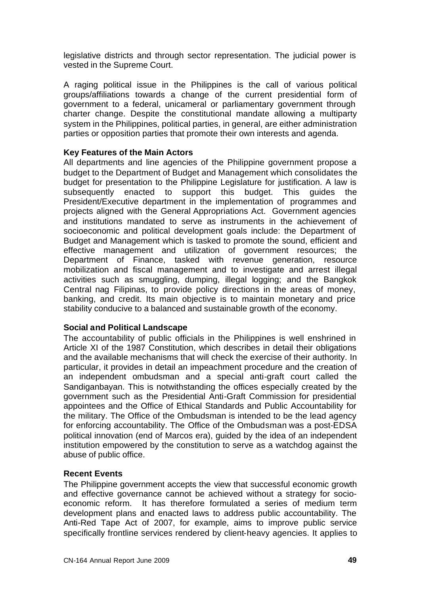legislative districts and through sector representation. The judicial power is vested in the Supreme Court.

A raging political issue in the Philippines is the call of various political groups/affiliations towards a change of the current presidential form of government to a federal, unicameral or parliamentary government through charter change. Despite the constitutional mandate allowing a multiparty system in the Philippines, political parties, in general, are either administration parties or opposition parties that promote their own interests and agenda.

# **Key Features of the Main Actors**

All departments and line agencies of the Philippine government propose a budget to the Department of Budget and Management which consolidates the budget for presentation to the Philippine Legislature for justification. A law is subsequently enacted to support this budget. This guides the President/Executive department in the implementation of programmes and projects aligned with the General Appropriations Act. Government agencies and institutions mandated to serve as instruments in the achievement of socioeconomic and political development goals include: the Department of Budget and Management which is tasked to promote the sound, efficient and effective management and utilization of government resources; the Department of Finance, tasked with revenue generation, resource mobilization and fiscal management and to investigate and arrest illegal activities such as smuggling, dumping, illegal logging; and the Bangkok Central nag Filipinas, to provide policy directions in the areas of money, banking, and credit. Its main objective is to maintain monetary and price stability conducive to a balanced and sustainable growth of the economy.

# **Social and Political Landscape**

The accountability of public officials in the Philippines is well enshrined in Article XI of the 1987 Constitution, which describes in detail their obligations and the available mechanisms that will check the exercise of their authority. In particular, it provides in detail an impeachment procedure and the creation of an independent ombudsman and a special anti-graft court called the Sandiganbayan. This is notwithstanding the offices especially created by the government such as the Presidential Anti-Graft Commission for presidential appointees and the Office of Ethical Standards and Public Accountability for the military. The Office of the Ombudsman is intended to be the lead agency for enforcing accountability. The Office of the Ombudsman was a post-EDSA political innovation (end of Marcos era), guided by the idea of an independent institution empowered by the constitution to serve as a watchdog against the abuse of public office.

# **Recent Events**

The Philippine government accepts the view that successful economic growth and effective governance cannot be achieved without a strategy for socioeconomic reform. It has therefore formulated a series of medium term development plans and enacted laws to address public accountability. The Anti-Red Tape Act of 2007, for example, aims to improve public service specifically frontline services rendered by client-heavy agencies. It applies to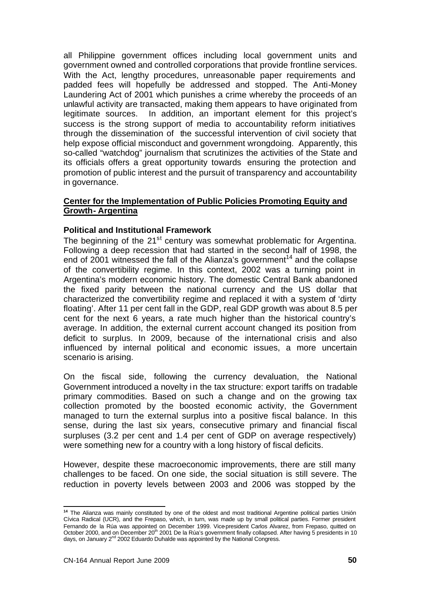all Philippine government offices including local government units and government owned and controlled corporations that provide frontline services. With the Act, lengthy procedures, unreasonable paper requirements and padded fees will hopefully be addressed and stopped. The Anti-Money Laundering Act of 2001 which punishes a crime whereby the proceeds of an unlawful activity are transacted, making them appears to have originated from legitimate sources. In addition, an important element for this project's success is the strong support of media to accountability reform initiatives through the dissemination of the successful intervention of civil society that help expose official misconduct and government wrongdoing. Apparently, this so-called "watchdog" journalism that scrutinizes the activities of the State and its officials offers a great opportunity towards ensuring the protection and promotion of public interest and the pursuit of transparency and accountability in governance.

### **Center for the Implementation of Public Policies Promoting Equity and Growth- Argentina**

#### **Political and Institutional Framework**

The beginning of the 21<sup>st</sup> century was somewhat problematic for Argentina. Following a deep recession that had started in the second half of 1998, the end of 2001 witnessed the fall of the Alianza's government<sup>14</sup> and the collapse of the convertibility regime. In this context, 2002 was a turning point in Argentina's modern economic history. The domestic Central Bank abandoned the fixed parity between the national currency and the US dollar that characterized the convertibility regime and replaced it with a system of 'dirty floating'. After 11 per cent fall in the GDP, real GDP growth was about 8.5 per cent for the next 6 years, a rate much higher than the historical country's average. In addition, the external current account changed its position from deficit to surplus. In 2009, because of the international crisis and also influenced by internal political and economic issues, a more uncertain scenario is arising.

On the fiscal side, following the currency devaluation, the National Government introduced a novelty in the tax structure: export tariffs on tradable primary commodities. Based on such a change and on the growing tax collection promoted by the boosted economic activity, the Government managed to turn the external surplus into a positive fiscal balance. In this sense, during the last six years, consecutive primary and financial fiscal surpluses (3.2 per cent and 1.4 per cent of GDP on average respectively) were something new for a country with a long history of fiscal deficits.

However, despite these macroeconomic improvements, there are still many challenges to be faced. On one side, the social situation is still severe. The reduction in poverty levels between 2003 and 2006 was stopped by the

l

**<sup>14</sup>** The Alianza was mainly constituted by one of the oldest and most traditional Argentine political parties Unión Cívica Radical (UCR), and the Frepaso, which, in turn, was made up by small political parties. Former president Fernando de la Rúa was appointed on December 1999. Vice-president Carlos Alvarez, from Frepaso, quitted on October 2000, and on December 20<sup>th</sup> 2001 De la Rúa's government finally collapsed. After having 5 presidents in 10 days, on January 2nd 2002 Eduardo Duhalde was appointed by the National Congress.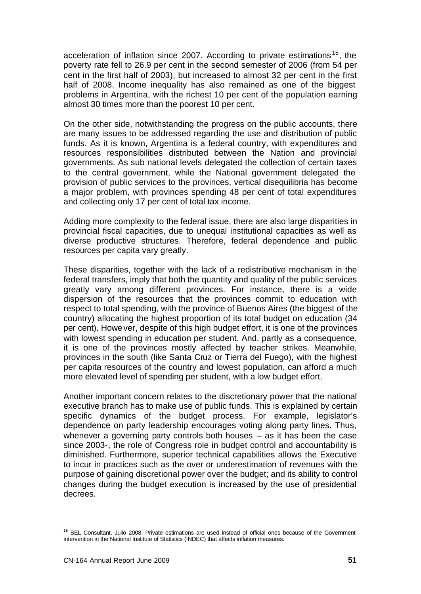acceleration of inflation since 2007. According to private estimations <sup>15</sup>, the poverty rate fell to 26.9 per cent in the second semester of 2006 (from 54 per cent in the first half of 2003), but increased to almost 32 per cent in the first half of 2008. Income inequality has also remained as one of the biggest problems in Argentina, with the richest 10 per cent of the population earning almost 30 times more than the poorest 10 per cent.

On the other side, notwithstanding the progress on the public accounts, there are many issues to be addressed regarding the use and distribution of public funds. As it is known, Argentina is a federal country, with expenditures and resources responsibilities distributed between the Nation and provincial governments. As sub national levels delegated the collection of certain taxes to the central government, while the National government delegated the provision of public services to the provinces, vertical disequilibria has become a major problem, with provinces spending 48 per cent of total expenditures and collecting only 17 per cent of total tax income.

Adding more complexity to the federal issue, there are also large disparities in provincial fiscal capacities, due to unequal institutional capacities as well as diverse productive structures. Therefore, federal dependence and public resources per capita vary greatly.

These disparities, together with the lack of a redistributive mechanism in the federal transfers, imply that both the quantity and quality of the public services greatly vary among different provinces. For instance, there is a wide dispersion of the resources that the provinces commit to education with respect to total spending, with the province of Buenos Aires (the biggest of the country) allocating the highest proportion of its total budget on education (34 per cent). However, despite of this high budget effort, it is one of the provinces with lowest spending in education per student. And, partly as a consequence, it is one of the provinces mostly affected by teacher strikes. Meanwhile, provinces in the south (like Santa Cruz or Tierra del Fuego), with the highest per capita resources of the country and lowest population, can afford a much more elevated level of spending per student, with a low budget effort.

Another important concern relates to the discretionary power that the national executive branch has to make use of public funds. This is explained by certain specific dynamics of the budget process. For example, legislator's dependence on party leadership encourages voting along party lines. Thus, whenever a governing party controls both houses – as it has been the case since 2003-, the role of Congress role in budget control and accountability is diminished. Furthermore, superior technical capabilities allows the Executive to incur in practices such as the over or underestimation of revenues with the purpose of gaining discretional power over the budget; and its ability to control changes during the budget execution is increased by the use of presidential decrees.

l

**<sup>15</sup>** SEL Consultant, Julio 2008. Private estimations are used instead of official ones because of the Government intervention in the National Institute of Statistics (INDEC) that affects inflation measures.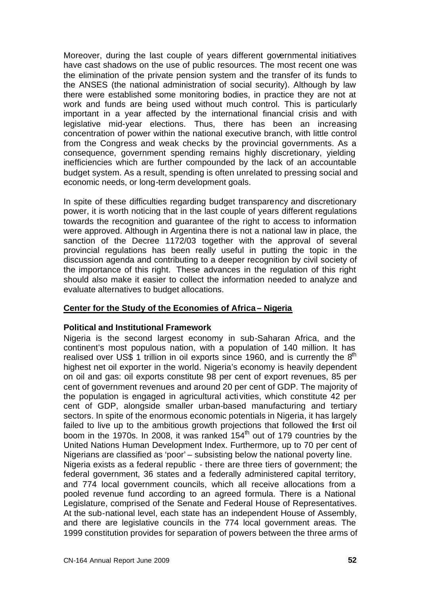Moreover, during the last couple of years different governmental initiatives have cast shadows on the use of public resources. The most recent one was the elimination of the private pension system and the transfer of its funds to the ANSES (the national administration of social security). Although by law there were established some monitoring bodies, in practice they are not at work and funds are being used without much control. This is particularly important in a year affected by the international financial crisis and with legislative mid-year elections. Thus, there has been an increasing concentration of power within the national executive branch, with little control from the Congress and weak checks by the provincial governments. As a consequence, government spending remains highly discretionary, yielding inefficiencies which are further compounded by the lack of an accountable budget system. As a result, spending is often unrelated to pressing social and economic needs, or long-term development goals.

In spite of these difficulties regarding budget transparency and discretionary power, it is worth noticing that in the last couple of years different regulations towards the recognition and guarantee of the right to access to information were approved. Although in Argentina there is not a national law in place, the sanction of the Decree 1172/03 together with the approval of several provincial regulations has been really useful in putting the topic in the discussion agenda and contributing to a deeper recognition by civil society of the importance of this right. These advances in the regulation of this right should also make it easier to collect the information needed to analyze and evaluate alternatives to budget allocations.

# **Center for the Study of the Economies of Africa – Nigeria**

# **Political and Institutional Framework**

Nigeria is the second largest economy in sub-Saharan Africa, and the continent's most populous nation, with a population of 140 million. It has realised over US\$ 1 trillion in oil exports since 1960, and is currently the  $8<sup>th</sup>$ highest net oil exporter in the world. Nigeria's economy is heavily dependent on oil and gas: oil exports constitute 98 per cent of export revenues, 85 per cent of government revenues and around 20 per cent of GDP. The majority of the population is engaged in agricultural acti vities, which constitute 42 per cent of GDP, alongside smaller urban-based manufacturing and tertiary sectors. In spite of the enormous economic potentials in Nigeria, it has largely failed to live up to the ambitious growth projections that followed the first oil boom in the 1970s. In 2008, it was ranked  $154<sup>th</sup>$  out of 179 countries by the United Nations Human Development Index. Furthermore, up to 70 per cent of Nigerians are classified as 'poor' – subsisting below the national poverty line. Nigeria exists as a federal republic - there are three tiers of government; the federal government, 36 states and a federally administered capital territory, and 774 local government councils, which all receive allocations from a pooled revenue fund according to an agreed formula. There is a National Legislature, comprised of the Senate and Federal House of Representatives. At the sub-national level, each state has an independent House of Assembly, and there are legislative councils in the 774 local government areas. The 1999 constitution provides for separation of powers between the three arms of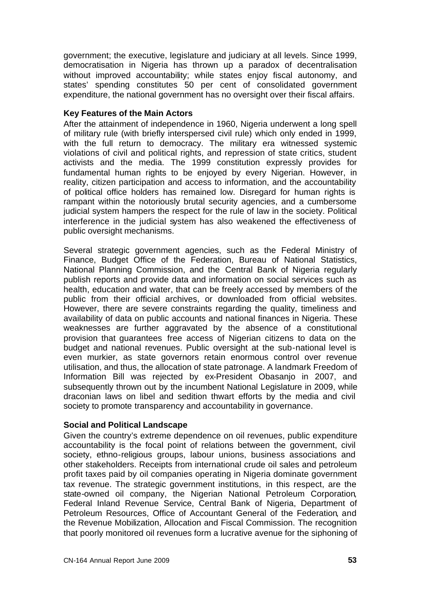government; the executive, legislature and judiciary at all levels. Since 1999, democratisation in Nigeria has thrown up a paradox of decentralisation without improved accountability; while states enjoy fiscal autonomy, and states' spending constitutes 50 per cent of consolidated government expenditure, the national government has no oversight over their fiscal affairs.

# **Key Features of the Main Actors**

After the attainment of independence in 1960, Nigeria underwent a long spell of military rule (with briefly interspersed civil rule) which only ended in 1999, with the full return to democracy. The military era witnessed systemic violations of civil and political rights, and repression of state critics, student activists and the media. The 1999 constitution expressly provides for fundamental human rights to be enjoyed by every Nigerian. However, in reality, citizen participation and access to information, and the accountability of political office holders has remained low. Disregard for human rights is rampant within the notoriously brutal security agencies, and a cumbersome judicial system hampers the respect for the rule of law in the society. Political interference in the judicial system has also weakened the effectiveness of public oversight mechanisms.

Several strategic government agencies, such as the Federal Ministry of Finance, Budget Office of the Federation, Bureau of National Statistics, National Planning Commission, and the Central Bank of Nigeria regularly publish reports and provide data and information on social services such as health, education and water, that can be freely accessed by members of the public from their official archives, or downloaded from official websites. However, there are severe constraints regarding the quality, timeliness and availability of data on public accounts and national finances in Nigeria. These weaknesses are further aggravated by the absence of a constitutional provision that guarantees free access of Nigerian citizens to data on the budget and national revenues. Public oversight at the sub-national level is even murkier, as state governors retain enormous control over revenue utilisation, and thus, the allocation of state patronage. A landmark Freedom of Information Bill was rejected by ex-President Obasanjo in 2007, and subsequently thrown out by the incumbent National Legislature in 2009, while draconian laws on libel and sedition thwart efforts by the media and civil society to promote transparency and accountability in governance.

# **Social and Political Landscape**

Given the country's extreme dependence on oil revenues, public expenditure accountability is the focal point of relations between the government, civil society, ethno-religious groups, labour unions, business associations and other stakeholders. Receipts from international crude oil sales and petroleum profit taxes paid by oil companies operating in Nigeria dominate government tax revenue. The strategic government institutions, in this respect, are the state-owned oil company, the Nigerian National Petroleum Corporation, Federal Inland Revenue Service, Central Bank of Nigeria, Department of Petroleum Resources, Office of Accountant General of the Federation, and the Revenue Mobilization, Allocation and Fiscal Commission. The recognition that poorly monitored oil revenues form a lucrative avenue for the siphoning of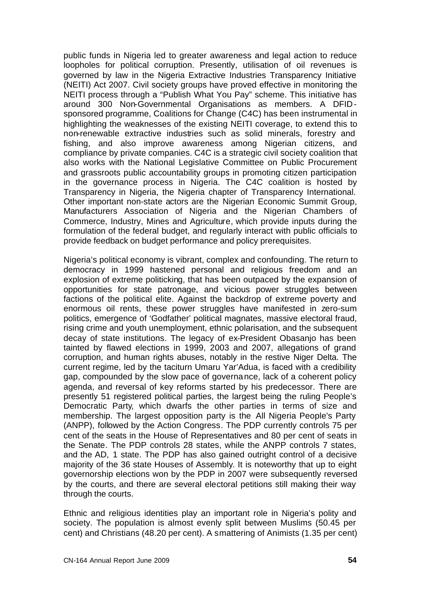public funds in Nigeria led to greater awareness and legal action to reduce loopholes for political corruption. Presently, utilisation of oil revenues is governed by law in the Nigeria Extractive Industries Transparency Initiative (NEITI) Act 2007. Civil society groups have proved effective in monitoring the NEITI process through a "Publish What You Pay" scheme. This initiative has around 300 Non-Governmental Organisations as members. A DFIDsponsored programme, Coalitions for Change (C4C) has been instrumental in highlighting the weaknesses of the existing NEITI coverage, to extend this to non-renewable extractive industries such as solid minerals, forestry and fishing, and also improve awareness among Nigerian citizens, and compliance by private companies. C4C is a strategic civil society coalition that also works with the National Legislative Committee on Public Procurement and grassroots public accountability groups in promoting citizen participation in the governance process in Nigeria. The C4C coalition is hosted by Transparency in Nigeria, the Nigeria chapter of Transparency International. Other important non-state actors are the Nigerian Economic Summit Group, Manufacturers Association of Nigeria and the Nigerian Chambers of Commerce, Industry, Mines and Agriculture, which provide inputs during the formulation of the federal budget, and regularly interact with public officials to provide feedback on budget performance and policy prerequisites.

Nigeria's political economy is vibrant, complex and confounding. The return to democracy in 1999 hastened personal and religious freedom and an explosion of extreme politicking, that has been outpaced by the expansion of opportunities for state patronage, and vicious power struggles between factions of the political elite. Against the backdrop of extreme poverty and enormous oil rents, these power struggles have manifested in zero-sum politics, emergence of 'Godfather' political magnates, massive electoral fraud, rising crime and youth unemployment, ethnic polarisation, and the subsequent decay of state institutions. The legacy of ex-President Obasanjo has been tainted by flawed elections in 1999, 2003 and 2007, allegations of grand corruption, and human rights abuses, notably in the restive Niger Delta. The current regime, led by the taciturn Umaru Yar'Adua, is faced with a credibility gap, compounded by the slow pace of governance, lack of a coherent policy agenda, and reversal of key reforms started by his predecessor. There are presently 51 registered political parties, the largest being the ruling People's Democratic Party, which dwarfs the other parties in terms of size and membership. The largest opposition party is the All Nigeria People's Party (ANPP), followed by the Action Congress. The PDP currently controls 75 per cent of the seats in the House of Representatives and 80 per cent of seats in the Senate. The PDP controls 28 states, while the ANPP controls 7 states, and the AD, 1 state. The PDP has also gained outright control of a decisive majority of the 36 state Houses of Assembly. It is noteworthy that up to eight governorship elections won by the PDP in 2007 were subsequently reversed by the courts, and there are several electoral petitions still making their way through the courts.

Ethnic and religious identities play an important role in Nigeria's polity and society. The population is almost evenly split between Muslims (50.45 per cent) and Christians (48.20 per cent). A smattering of Animists (1.35 per cent)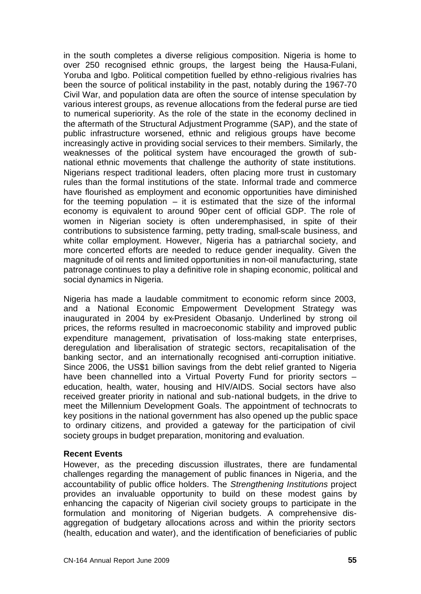in the south completes a diverse religious composition. Nigeria is home to over 250 recognised ethnic groups, the largest being the Hausa-Fulani, Yoruba and Igbo. Political competition fuelled by ethno-religious rivalries has been the source of political instability in the past, notably during the 1967-70 Civil War, and population data are often the source of intense speculation by various interest groups, as revenue allocations from the federal purse are tied to numerical superiority. As the role of the state in the economy declined in the aftermath of the Structural Adjustment Programme (SAP), and the state of public infrastructure worsened, ethnic and religious groups have become increasingly active in providing social services to their members. Similarly, the weaknesses of the political system have encouraged the growth of subnational ethnic movements that challenge the authority of state institutions. Nigerians respect traditional leaders, often placing more trust in customary rules than the formal institutions of the state. Informal trade and commerce have flourished as employment and economic opportunities have diminished for the teeming population  $-$  it is estimated that the size of the informal economy is equivalent to around 90per cent of official GDP. The role of women in Nigerian society is often underemphasised, in spite of their contributions to subsistence farming, petty trading, small-scale business, and white collar employment. However, Nigeria has a patriarchal society, and more concerted efforts are needed to reduce gender inequality. Given the magnitude of oil rents and limited opportunities in non-oil manufacturing, state patronage continues to play a definitive role in shaping economic, political and social dynamics in Nigeria.

Nigeria has made a laudable commitment to economic reform since 2003, and a National Economic Empowerment Development Strategy was inaugurated in 2004 by ex-President Obasanjo. Underlined by strong oil prices, the reforms resulted in macroeconomic stability and improved public expenditure management, privatisation of loss-making state enterprises, deregulation and liberalisation of strategic sectors, recapitalisation of the banking sector, and an internationally recognised anti-corruption initiative. Since 2006, the US\$1 billion savings from the debt relief granted to Nigeria have been channelled into a Virtual Poverty Fund for priority sectors education, health, water, housing and HIV/AIDS. Social sectors have also received greater priority in national and sub-national budgets, in the drive to meet the Millennium Development Goals. The appointment of technocrats to key positions in the national government has also opened up the public space to ordinary citizens, and provided a gateway for the participation of civil society groups in budget preparation, monitoring and evaluation.

# **Recent Events**

However, as the preceding discussion illustrates, there are fundamental challenges regarding the management of public finances in Nigeria, and the accountability of public office holders. The *Strengthening Institutions* project provides an invaluable opportunity to build on these modest gains by enhancing the capacity of Nigerian civil society groups to participate in the formulation and monitoring of Nigerian budgets. A comprehensive disaggregation of budgetary allocations across and within the priority sectors (health, education and water), and the identification of beneficiaries of public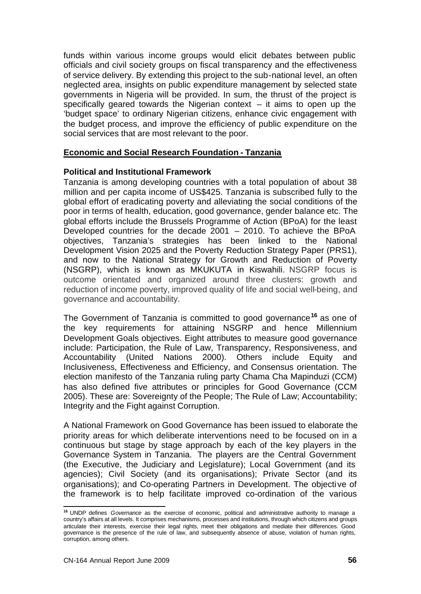funds within various income groups would elicit debates between public officials and civil society groups on fiscal transparency and the effectiveness of service delivery. By extending this project to the sub-national level, an often neglected area, insights on public expenditure management by selected state governments in Nigeria will be provided. In sum, the thrust of the project is specifically geared towards the Nigerian context  $-$  it aims to open up the 'budget space' to ordinary Nigerian citizens, enhance civic engagement with the budget process, and improve the efficiency of public expenditure on the social services that are most relevant to the poor.

#### **Economic and Social Research Foundation - Tanzania**

#### **Political and Institutional Framework**

Tanzania is among developing countries with a total population of about 38 million and per capita income of US\$425. Tanzania is subscribed fully to the global effort of eradicating poverty and alleviating the social conditions of the poor in terms of health, education, good governance, gender balance etc. The global efforts include the Brussels Programme of Action (BPoA) for the least Developed countries for the decade 2001 – 2010. To achieve the BPoA objectives, Tanzania's strategies has been linked to the National Development Vision 2025 and the Poverty Reduction Strategy Paper (PRS1), and now to the National Strategy for Growth and Reduction of Poverty (NSGRP), which is known as MKUKUTA in Kiswahili. NSGRP focus is outcome orientated and organized around three clusters: growth and reduction of income poverty, improved quality of life and social well-being, and governance and accountability.

The Government of Tanzania is committed to good governance**<sup>16</sup>** as one of the key requirements for attaining NSGRP and hence Millennium Development Goals objectives. Eight attributes to measure good governance include: Participation, the Rule of Law, Transparency, Responsiveness, and Accountability (United Nations 2000). Others include Equity and Inclusiveness, Effectiveness and Efficiency, and Consensus orientation. The election manifesto of the Tanzania ruling party Chama Cha Mapinduzi (CCM) has also defined five attributes or principles for Good Governance (CCM 2005). These are: Sovereignty of the People; The Rule of Law; Accountability; Integrity and the Fight against Corruption.

A National Framework on Good Governance has been issued to elaborate the priority areas for which deliberate interventions need to be focused on in a continuous but stage by stage approach by each of the key players in the Governance System in Tanzania. The players are the Central Government (the Executive, the Judiciary and Legislature); Local Government (and its agencies); Civil Society (and its organisations); Private Sector (and its organisations); and Co-operating Partners in Development. The objecti ve of the framework is to help facilitate improved co-ordination of the various

l

**<sup>16</sup>** UNDP defines *Governance* as the exercise of economic, political and administrative authority to manage a country's affairs at all levels. It comprises mechanisms, processes and institutions, through which citizens and groups articulate their interests, exercise their legal rights, meet their obligations and mediate their differences. Good governance is the presence of the rule of law, and subsequently absence of abuse, violation of human rights, corruption, among others.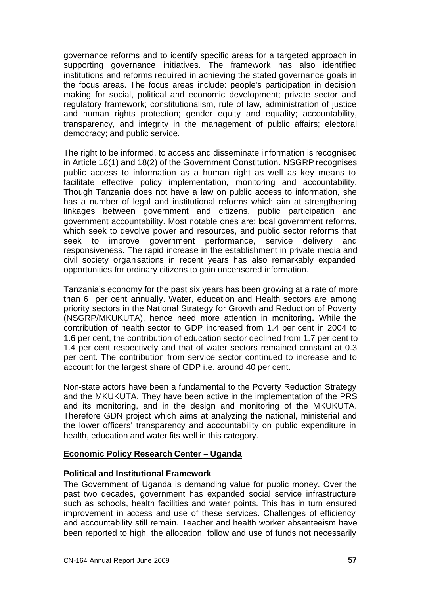governance reforms and to identify specific areas for a targeted approach in supporting governance initiatives. The framework has also identified institutions and reforms required in achieving the stated governance goals in the focus areas. The focus areas include: people's participation in decision making for social, political and economic development; private sector and regulatory framework; constitutionalism, rule of law, administration of justice and human rights protection; gender equity and equality; accountability, transparency, and integrity in the management of public affairs; electoral democracy; and public service.

The right to be informed, to access and disseminate information is recognised in Article 18(1) and 18(2) of the Government Constitution. NSGRP recognises public access to information as a human right as well as key means to facilitate effective policy implementation, monitoring and accountability. Though Tanzania does not have a law on public access to information, she has a number of legal and institutional reforms which aim at strengthening linkages between government and citizens, public participation and government accountability. Most notable ones are: local government reforms, which seek to devolve power and resources, and public sector reforms that seek to improve government performance, service delivery and responsiveness. The rapid increase in the establishment in private media and civil society organisations in recent years has also remarkably expanded opportunities for ordinary citizens to gain uncensored information.

Tanzania's economy for the past six years has been growing at a rate of more than 6 per cent annually. Water, education and Health sectors are among priority sectors in the National Strategy for Growth and Reduction of Poverty (NSGRP/MKUKUTA), hence need more attention in monitoring**.** While the contribution of health sector to GDP increased from 1.4 per cent in 2004 to 1.6 per cent, the contribution of education sector declined from 1.7 per cent to 1.4 per cent respectively and that of water sectors remained constant at 0.3 per cent. The contribution from service sector continued to increase and to account for the largest share of GDP i.e. around 40 per cent.

Non-state actors have been a fundamental to the Poverty Reduction Strategy and the MKUKUTA. They have been active in the implementation of the PRS and its monitoring, and in the design and monitoring of the MKUKUTA. Therefore GDN project which aims at analyzing the national, ministerial and the lower officers' transparency and accountability on public expenditure in health, education and water fits well in this category.

# **Economic Policy Research Center – Uganda**

# **Political and Institutional Framework**

The Government of Uganda is demanding value for public money. Over the past two decades, government has expanded social service infrastructure such as schools, health facilities and water points. This has in turn ensured improvement in access and use of these services. Challenges of efficiency and accountability still remain. Teacher and health worker absenteeism have been reported to high, the allocation, follow and use of funds not necessarily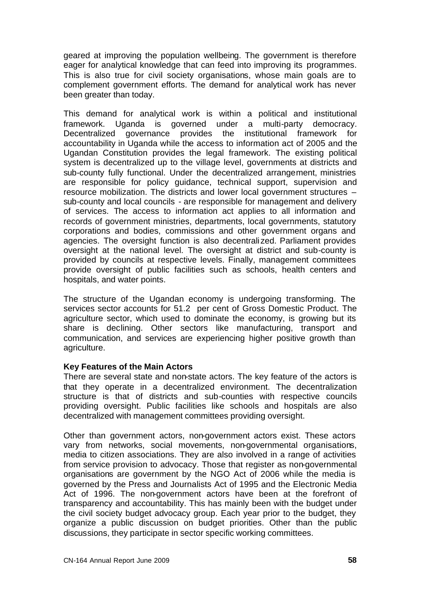geared at improving the population wellbeing. The government is therefore eager for analytical knowledge that can feed into improving its programmes. This is also true for civil society organisations, whose main goals are to complement government efforts. The demand for analytical work has never been greater than today.

This demand for analytical work is within a political and institutional framework. Uganda is governed under a multi-party democracy. Decentralized governance provides the institutional framework for accountability in Uganda while the access to information act of 2005 and the Ugandan Constitution provides the legal framework. The existing political system is decentralized up to the village level, governments at districts and sub-county fully functional. Under the decentralized arrangement, ministries are responsible for policy guidance, technical support, supervision and resource mobilization. The districts and lower local government structures – sub-county and local councils - are responsible for management and delivery of services. The access to information act applies to all information and records of government ministries, departments, local governments, statutory corporations and bodies, commissions and other government organs and agencies. The oversight function is also decentralized. Parliament provides oversight at the national level. The oversight at district and sub-county is provided by councils at respective levels. Finally, management committees provide oversight of public facilities such as schools, health centers and hospitals, and water points.

The structure of the Ugandan economy is undergoing transforming. The services sector accounts for 51.2 per cent of Gross Domestic Product. The agriculture sector, which used to dominate the economy, is growing but its share is declining. Other sectors like manufacturing, transport and communication, and services are experiencing higher positive growth than agriculture.

# **Key Features of the Main Actors**

There are several state and non-state actors. The key feature of the actors is that they operate in a decentralized environment. The decentralization structure is that of districts and sub-counties with respective councils providing oversight. Public facilities like schools and hospitals are also decentralized with management committees providing oversight.

Other than government actors, non-government actors exist. These actors vary from networks, social movements, non-governmental organisations, media to citizen associations. They are also involved in a range of activities from service provision to advocacy. Those that register as non-governmental organisations are government by the NGO Act of 2006 while the media is governed by the Press and Journalists Act of 1995 and the Electronic Media Act of 1996. The non-government actors have been at the forefront of transparency and accountability. This has mainly been with the budget under the civil society budget advocacy group. Each year prior to the budget, they organize a public discussion on budget priorities. Other than the public discussions, they participate in sector specific working committees.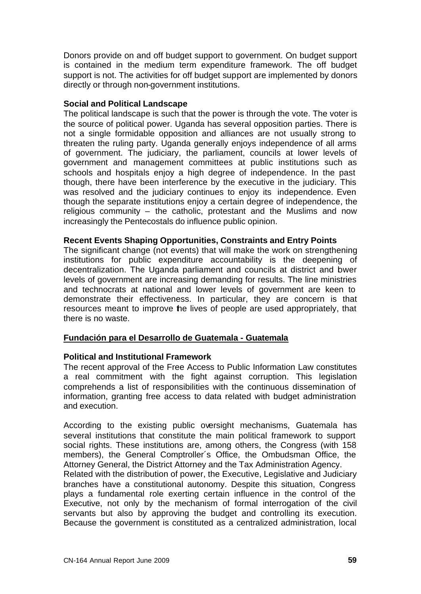Donors provide on and off budget support to government. On budget support is contained in the medium term expenditure framework. The off budget support is not. The activities for off budget support are implemented by donors directly or through non-government institutions.

#### **Social and Political Landscape**

The political landscape is such that the power is through the vote. The voter is the source of political power. Uganda has several opposition parties. There is not a single formidable opposition and alliances are not usually strong to threaten the ruling party. Uganda generally enjoys independence of all arms of government. The judiciary, the parliament, councils at lower levels of government and management committees at public institutions such as schools and hospitals enjoy a high degree of independence. In the past though, there have been interference by the executive in the judiciary. This was resolved and the judiciary continues to enjoy its independence. Even though the separate institutions enjoy a certain degree of independence, the religious community – the catholic, protestant and the Muslims and now increasingly the Pentecostals do influence public opinion.

#### **Recent Events Shaping Opportunities, Constraints and Entry Points**

The significant change (not events) that will make the work on strengthening institutions for public expenditure accountability is the deepening of decentralization. The Uganda parliament and councils at district and bwer levels of government are increasing demanding for results. The line ministries and technocrats at national and lower levels of government are keen to demonstrate their effectiveness. In particular, they are concern is that resources meant to improve the lives of people are used appropriately, that there is no waste.

# **Fundación para el Desarrollo de Guatemala - Guatemala**

# **Political and Institutional Framework**

The recent approval of the Free Access to Public Information Law constitutes a real commitment with the fight against corruption. This legislation comprehends a list of responsibilities with the continuous dissemination of information, granting free access to data related with budget administration and execution.

According to the existing public oversight mechanisms, Guatemala has several institutions that constitute the main political framework to support social rights. These institutions are, among others, the Congress (with 158 members), the General Comptroller´s Office, the Ombudsman Office, the Attorney General, the District Attorney and the Tax Administration Agency.

Related with the distribution of power, the Executive, Legislative and Judiciary branches have a constitutional autonomy. Despite this situation, Congress plays a fundamental role exerting certain influence in the control of the Executive, not only by the mechanism of formal interrogation of the civil servants but also by approving the budget and controlling its execution. Because the government is constituted as a centralized administration, local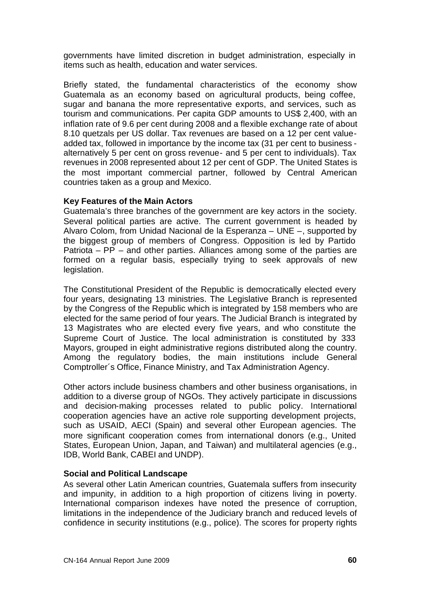governments have limited discretion in budget administration, especially in items such as health, education and water services.

Briefly stated, the fundamental characteristics of the economy show Guatemala as an economy based on agricultural products, being coffee, sugar and banana the more representative exports, and services, such as tourism and communications. Per capita GDP amounts to US\$ 2,400, with an inflation rate of 9.6 per cent during 2008 and a flexible exchange rate of about 8.10 quetzals per US dollar. Tax revenues are based on a 12 per cent valueadded tax, followed in importance by the income tax (31 per cent to business alternatively 5 per cent on gross revenue- and 5 per cent to individuals). Tax revenues in 2008 represented about 12 per cent of GDP. The United States is the most important commercial partner, followed by Central American countries taken as a group and Mexico.

#### **Key Features of the Main Actors**

Guatemala's three branches of the government are key actors in the society. Several political parties are active. The current government is headed by Alvaro Colom, from Unidad Nacional de la Esperanza – UNE –, supported by the biggest group of members of Congress. Opposition is led by Partido Patriota – PP – and other parties. Alliances among some of the parties are formed on a regular basis, especially trying to seek approvals of new legislation.

The Constitutional President of the Republic is democratically elected every four years, designating 13 ministries. The Legislative Branch is represented by the Congress of the Republic which is integrated by 158 members who are elected for the same period of four years. The Judicial Branch is integrated by 13 Magistrates who are elected every five years, and who constitute the Supreme Court of Justice. The local administration is constituted by 333 Mayors, grouped in eight administrative regions distributed along the country. Among the regulatory bodies, the main institutions include General Comptroller´s Office, Finance Ministry, and Tax Administration Agency.

Other actors include business chambers and other business organisations, in addition to a diverse group of NGOs. They actively participate in discussions and decision-making processes related to public policy. International cooperation agencies have an active role supporting development projects, such as USAID, AECI (Spain) and several other European agencies. The more significant cooperation comes from international donors (e.g., United States, European Union, Japan, and Taiwan) and multilateral agencies (e.g., IDB, World Bank, CABEI and UNDP).

# **Social and Political Landscape**

As several other Latin American countries, Guatemala suffers from insecurity and impunity, in addition to a high proportion of citizens living in poverty. International comparison indexes have noted the presence of corruption, limitations in the independence of the Judiciary branch and reduced levels of confidence in security institutions (e.g., police). The scores for property rights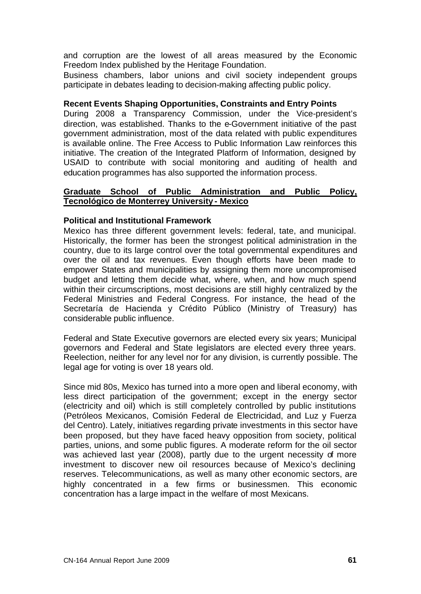and corruption are the lowest of all areas measured by the Economic Freedom Index published by the Heritage Foundation.

Business chambers, labor unions and civil society independent groups participate in debates leading to decision-making affecting public policy.

#### **Recent Events Shaping Opportunities, Constraints and Entry Points**

During 2008 a Transparency Commission, under the Vice-president's direction, was established. Thanks to the e-Government initiative of the past government administration, most of the data related with public expenditures is available online. The Free Access to Public Information Law reinforces this initiative. The creation of the Integrated Platform of Information, designed by USAID to contribute with social monitoring and auditing of health and education programmes has also supported the information process.

#### **Graduate School of Public Administration and Public Policy, Tecnológico de Monterrey University - Mexico**

#### **Political and Institutional Framework**

Mexico has three different government levels: federal, tate, and municipal. Historically, the former has been the strongest political administration in the country, due to its large control over the total governmental expenditures and over the oil and tax revenues. Even though efforts have been made to empower States and municipalities by assigning them more uncompromised budget and letting them decide what, where, when, and how much spend within their circumscriptions, most decisions are still highly centralized by the Federal Ministries and Federal Congress. For instance, the head of the Secretaría de Hacienda y Crédito Público (Ministry of Treasury) has considerable public influence.

Federal and State Executive governors are elected every six years; Municipal governors and Federal and State legislators are elected every three years. Reelection, neither for any level nor for any division, is currently possible. The legal age for voting is over 18 years old.

Since mid 80s, Mexico has turned into a more open and liberal economy, with less direct participation of the government; except in the energy sector (electricity and oil) which is still completely controlled by public institutions (Petróleos Mexicanos, Comisión Federal de Electricidad, and Luz y Fuerza del Centro). Lately, initiatives regarding private investments in this sector have been proposed, but they have faced heavy opposition from society, political parties, unions, and some public figures. A moderate reform for the oil sector was achieved last year (2008), partly due to the urgent necessity of more investment to discover new oil resources because of Mexico's declining reserves. Telecommunications, as well as many other economic sectors, are highly concentrated in a few firms or businessmen. This economic concentration has a large impact in the welfare of most Mexicans.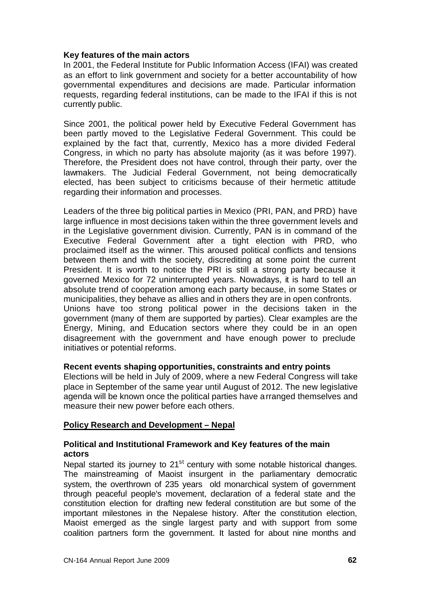#### **Key features of the main actors**

In 2001, the Federal Institute for Public Information Access (IFAI) was created as an effort to link government and society for a better accountability of how governmental expenditures and decisions are made. Particular information requests, regarding federal institutions, can be made to the IFAI if this is not currently public.

Since 2001, the political power held by Executive Federal Government has been partly moved to the Legislative Federal Government. This could be explained by the fact that, currently, Mexico has a more divided Federal Congress, in which no party has absolute majority (as it was before 1997). Therefore, the President does not have control, through their party, over the lawmakers. The Judicial Federal Government, not being democratically elected, has been subject to criticisms because of their hermetic attitude regarding their information and processes.

Leaders of the three big political parties in Mexico (PRI, PAN, and PRD) have large influence in most decisions taken within the three government levels and in the Legislative government division. Currently, PAN is in command of the Executive Federal Government after a tight election with PRD, who proclaimed itself as the winner. This aroused political conflicts and tensions between them and with the society, discrediting at some point the current President. It is worth to notice the PRI is still a strong party because it governed Mexico for 72 uninterrupted years. Nowadays, it is hard to tell an absolute trend of cooperation among each party because, in some States or municipalities, they behave as allies and in others they are in open confronts. Unions have too strong political power in the decisions taken in the government (many of them are supported by parties). Clear examples are the Energy, Mining, and Education sectors where they could be in an open disagreement with the government and have enough power to preclude initiatives or potential reforms.

# **Recent events shaping opportunities, constraints and entry points**

Elections will be held in July of 2009, where a new Federal Congress will take place in September of the same year until August of 2012. The new legislative agenda will be known once the political parties have arranged themselves and measure their new power before each others.

# **Policy Research and Development – Nepal**

# **Political and Institutional Framework and Key features of the main actors**

Nepal started its journey to  $21<sup>st</sup>$  century with some notable historical changes. The mainstreaming of Maoist insurgent in the parliamentary democratic system, the overthrown of 235 years old monarchical system of government through peaceful people's movement, declaration of a federal state and the constitution election for drafting new federal constitution are but some of the important milestones in the Nepalese history. After the constitution election, Maoist emerged as the single largest party and with support from some coalition partners form the government. It lasted for about nine months and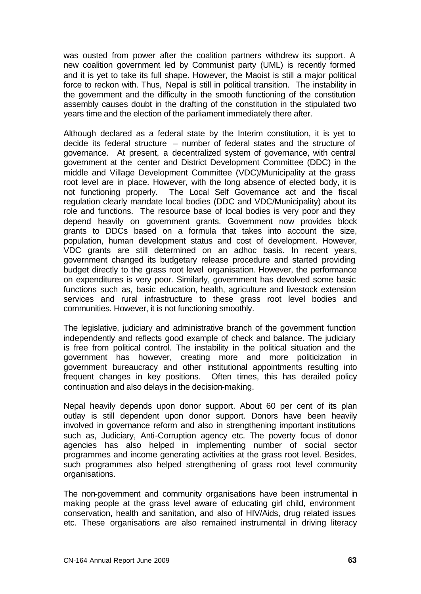was ousted from power after the coalition partners withdrew its support. A new coalition government led by Communist party (UML) is recently formed and it is yet to take its full shape. However, the Maoist is still a major political force to reckon with. Thus, Nepal is still in political transition. The instability in the government and the difficulty in the smooth functioning of the constitution assembly causes doubt in the drafting of the constitution in the stipulated two years time and the election of the parliament immediately there after.

Although declared as a federal state by the Interim constitution, it is yet to decide its federal structure – number of federal states and the structure of governance. At present, a decentralized system of governance, with central government at the center and District Development Committee (DDC) in the middle and Village Development Committee (VDC)/Municipality at the grass root level are in place. However, with the long absence of elected body, it is not functioning properly. The Local Self Governance act and the fiscal regulation clearly mandate local bodies (DDC and VDC/Municipality) about its role and functions. The resource base of local bodies is very poor and they depend heavily on government grants. Government now provides block grants to DDCs based on a formula that takes into account the size, population, human development status and cost of development. However, VDC grants are still determined on an adhoc basis. In recent years, government changed its budgetary release procedure and started providing budget directly to the grass root level organisation. However, the performance on expenditures is very poor. Similarly, government has devolved some basic functions such as, basic education, health, agriculture and livestock extension services and rural infrastructure to these grass root level bodies and communities. However, it is not functioning smoothly.

The legislative, judiciary and administrative branch of the government function independently and reflects good example of check and balance. The judiciary is free from political control. The instability in the political situation and the government has however, creating more and more politicization in government bureaucracy and other institutional appointments resulting into frequent changes in key positions. Often times, this has derailed policy continuation and also delays in the decision-making.

Nepal heavily depends upon donor support. About 60 per cent of its plan outlay is still dependent upon donor support. Donors have been heavily involved in governance reform and also in strengthening important institutions such as, Judiciary, Anti-Corruption agency etc. The poverty focus of donor agencies has also helped in implementing number of social sector programmes and income generating activities at the grass root level. Besides, such programmes also helped strengthening of grass root level community organisations.

The non-government and community organisations have been instrumental in making people at the grass level aware of educating girl child, environment conservation, health and sanitation, and also of HIV/Aids, drug related issues etc. These organisations are also remained instrumental in driving literacy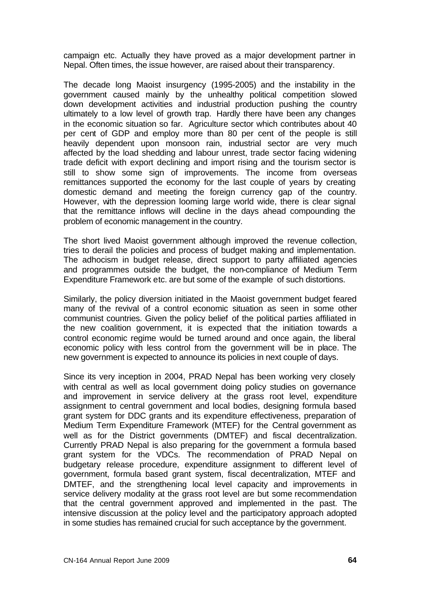campaign etc. Actually they have proved as a major development partner in Nepal. Often times, the issue however, are raised about their transparency.

The decade long Maoist insurgency (1995-2005) and the instability in the government caused mainly by the unhealthy political competition slowed down development activities and industrial production pushing the country ultimately to a low level of growth trap. Hardly there have been any changes in the economic situation so far. Agriculture sector which contributes about 40 per cent of GDP and employ more than 80 per cent of the people is still heavily dependent upon monsoon rain, industrial sector are very much affected by the load shedding and labour unrest, trade sector facing widening trade deficit with export declining and import rising and the tourism sector is still to show some sign of improvements. The income from overseas remittances supported the economy for the last couple of years by creating domestic demand and meeting the foreign currency gap of the country. However, with the depression looming large world wide, there is clear signal that the remittance inflows will decline in the days ahead compounding the problem of economic management in the country.

The short lived Maoist government although improved the revenue collection, tries to derail the policies and process of budget making and implementation. The adhocism in budget release, direct support to party affiliated agencies and programmes outside the budget, the non-compliance of Medium Term Expenditure Framework etc. are but some of the example of such distortions.

Similarly, the policy diversion initiated in the Maoist government budget feared many of the revival of a control economic situation as seen in some other communist countries. Given the policy belief of the political parties affiliated in the new coalition government, it is expected that the initiation towards a control economic regime would be turned around and once again, the liberal economic policy with less control from the government will be in place. The new government is expected to announce its policies in next couple of days.

Since its very inception in 2004, PRAD Nepal has been working very closely with central as well as local government doing policy studies on governance and improvement in service delivery at the grass root level, expenditure assignment to central government and local bodies, designing formula based grant system for DDC grants and its expenditure effectiveness, preparation of Medium Term Expenditure Framework (MTEF) for the Central government as well as for the District governments (DMTEF) and fiscal decentralization. Currently PRAD Nepal is also preparing for the government a formula based grant system for the VDCs. The recommendation of PRAD Nepal on budgetary release procedure, expenditure assignment to different level of government, formula based grant system, fiscal decentralization, MTEF and DMTEF, and the strengthening local level capacity and improvements in service delivery modality at the grass root level are but some recommendation that the central government approved and implemented in the past. The intensive discussion at the policy level and the participatory approach adopted in some studies has remained crucial for such acceptance by the government.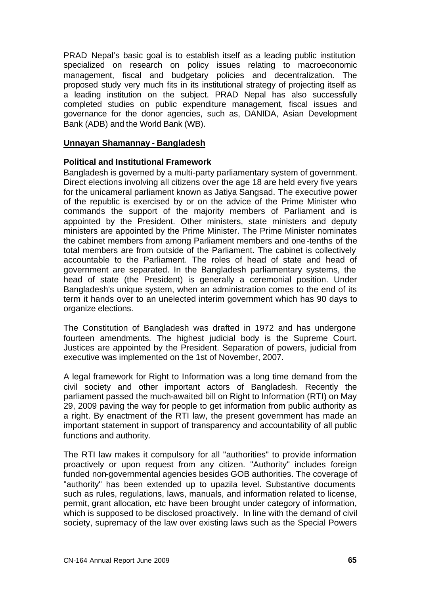PRAD Nepal's basic goal is to establish itself as a leading public institution specialized on research on policy issues relating to macroeconomic management, fiscal and budgetary policies and decentralization. The proposed study very much fits in its institutional strategy of projecting itself as a leading institution on the subject. PRAD Nepal has also successfully completed studies on public expenditure management, fiscal issues and governance for the donor agencies, such as, DANIDA, Asian Development Bank (ADB) and the World Bank (WB).

### **Unnayan Shamannay - Bangladesh**

#### **Political and Institutional Framework**

Bangladesh is governed by a multi-party parliamentary system of government. Direct elections involving all citizens over the age 18 are held every five years for the unicameral parliament known as Jatiya Sangsad. The executive power of the republic is exercised by or on the advice of the Prime Minister who commands the support of the majority members of Parliament and is appointed by the President. Other ministers, state ministers and deputy ministers are appointed by the Prime Minister. The Prime Minister nominates the cabinet members from among Parliament members and one-tenths of the total members are from outside of the Parliament. The cabinet is collectively accountable to the Parliament. The roles of head of state and head of government are separated. In the Bangladesh parliamentary systems, the head of state (the President) is generally a ceremonial position. Under Bangladesh's unique system, when an administration comes to the end of its term it hands over to an unelected interim government which has 90 days to organize elections.

The Constitution of Bangladesh was drafted in 1972 and has undergone fourteen amendments. The highest judicial body is the Supreme Court. Justices are appointed by the President. Separation of powers, judicial from executive was implemented on the 1st of November, 2007.

A legal framework for Right to Information was a long time demand from the civil society and other important actors of Bangladesh. Recently the parliament passed the much-awaited bill on Right to Information (RTI) on May 29, 2009 paving the way for people to get information from public authority as a right. By enactment of the RTI law, the present government has made an important statement in support of transparency and accountability of all public functions and authority.

The RTI law makes it compulsory for all "authorities" to provide information proactively or upon request from any citizen. "Authority" includes foreign funded non-governmental agencies besides GOB authorities. The coverage of "authority" has been extended up to upazila level. Substantive documents such as rules, regulations, laws, manuals, and information related to license, permit, grant allocation, etc have been brought under category of information, which is supposed to be disclosed proactively. In line with the demand of civil society, supremacy of the law over existing laws such as the Special Powers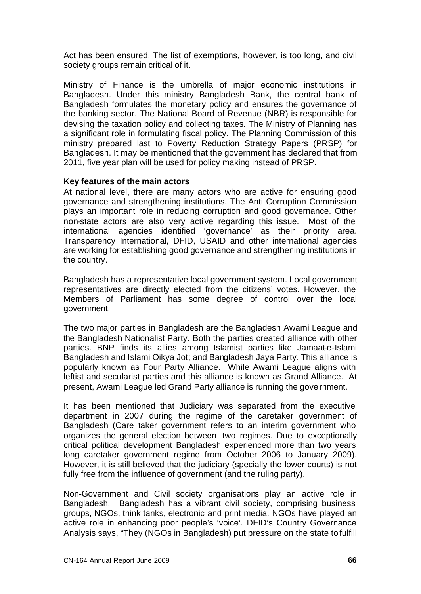Act has been ensured. The list of exemptions, however, is too long, and civil society groups remain critical of it.

Ministry of Finance is the umbrella of major economic institutions in Bangladesh. Under this ministry Bangladesh Bank, the central bank of Bangladesh formulates the monetary policy and ensures the governance of the banking sector. The National Board of Revenue (NBR) is responsible for devising the taxation policy and collecting taxes. The Ministry of Planning has a significant role in formulating fiscal policy. The Planning Commission of this ministry prepared last to Poverty Reduction Strategy Papers (PRSP) for Bangladesh. It may be mentioned that the government has declared that from 2011, five year plan will be used for policy making instead of PRSP.

#### **Key features of the main actors**

At national level, there are many actors who are active for ensuring good governance and strengthening institutions. The Anti Corruption Commission plays an important role in reducing corruption and good governance. Other non-state actors are also very acti ve regarding this issue. Most of the international agencies identified 'governance' as their priority area. Transparency International, DFID, USAID and other international agencies are working for establishing good governance and strengthening institutions in the country.

Bangladesh has a representative local government system. Local government representatives are directly elected from the citizens' votes. However, the Members of Parliament has some degree of control over the local government.

The two major parties in Bangladesh are the Bangladesh Awami League and the Bangladesh Nationalist Party. Both the parties created alliance with other parties. BNP finds its allies among Islamist parties like Jamaat-e-Islami Bangladesh and Islami Oikya Jot; and Bangladesh Jaya Party. This alliance is popularly known as Four Party Alliance. While Awami League aligns with leftist and secularist parties and this alliance is known as Grand Alliance. At present, Awami League led Grand Party alliance is running the government.

It has been mentioned that Judiciary was separated from the executive department in 2007 during the regime of the caretaker government of Bangladesh (Care taker government refers to an interim government who organizes the general election between two regimes. Due to exceptionally critical political development Bangladesh experienced more than two years long caretaker government regime from October 2006 to January 2009). However, it is still believed that the judiciary (specially the lower courts) is not fully free from the influence of government (and the ruling party).

Non-Government and Civil society organisations play an active role in Bangladesh. Bangladesh has a vibrant civil society, comprising business groups, NGOs, think tanks, electronic and print media. NGOs have played an active role in enhancing poor people's 'voice'. DFID's Country Governance Analysis says, "They (NGOs in Bangladesh) put pressure on the state to fulfill